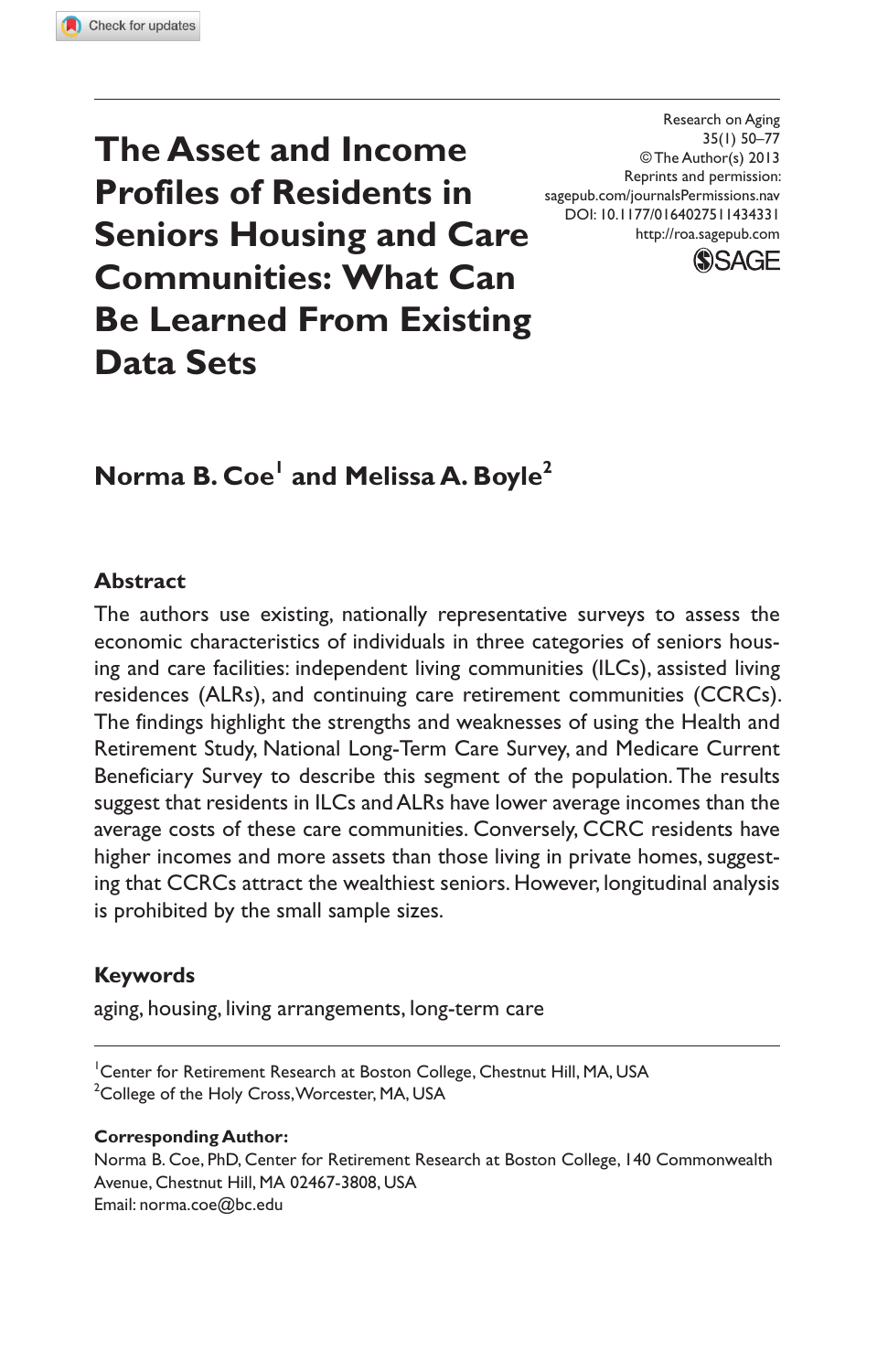**The Asset and Income Profiles of Residents in Seniors Housing and Care Communities: What Can Be Learned From Existing Data Sets**

Research on Aging 35(1) 50–77 © The Author(s) 2013 Reprints and permission: sagepub.com/journalsPermissions.nav DOI: 10.1177/0164027511434331 http://roa.sagepub.com



 $\bm{\mathsf{Norma}}$   $\bm{\mathsf{B}.\mathsf{Coe}}^{\mathsf{I}}$  and  $\bm{\mathsf{Melissa}}$   $\bm{\mathsf{A.}\mathsf{Boyle}}^2$ 

#### **Abstract**

The authors use existing, nationally representative surveys to assess the economic characteristics of individuals in three categories of seniors housing and care facilities: independent living communities (ILCs), assisted living residences (ALRs), and continuing care retirement communities (CCRCs). The findings highlight the strengths and weaknesses of using the Health and Retirement Study, National Long-Term Care Survey, and Medicare Current Beneficiary Survey to describe this segment of the population. The results suggest that residents in ILCs and ALRs have lower average incomes than the average costs of these care communities. Conversely, CCRC residents have higher incomes and more assets than those living in private homes, suggesting that CCRCs attract the wealthiest seniors. However, longitudinal analysis is prohibited by the small sample sizes.

#### **Keywords**

aging, housing, living arrangements, long-term care

<sup>1</sup> Center for Retirement Research at Boston College, Chestnut Hill, MA, USA <sup>2</sup>College of the Holy Cross, Worcester, MA, USA

#### **Corresponding Author:**

Norma B. Coe, PhD, Center for Retirement Research at Boston College, 140 Commonwealth Avenue, Chestnut Hill, MA 02467-3808, USA Email: norma.coe@bc.edu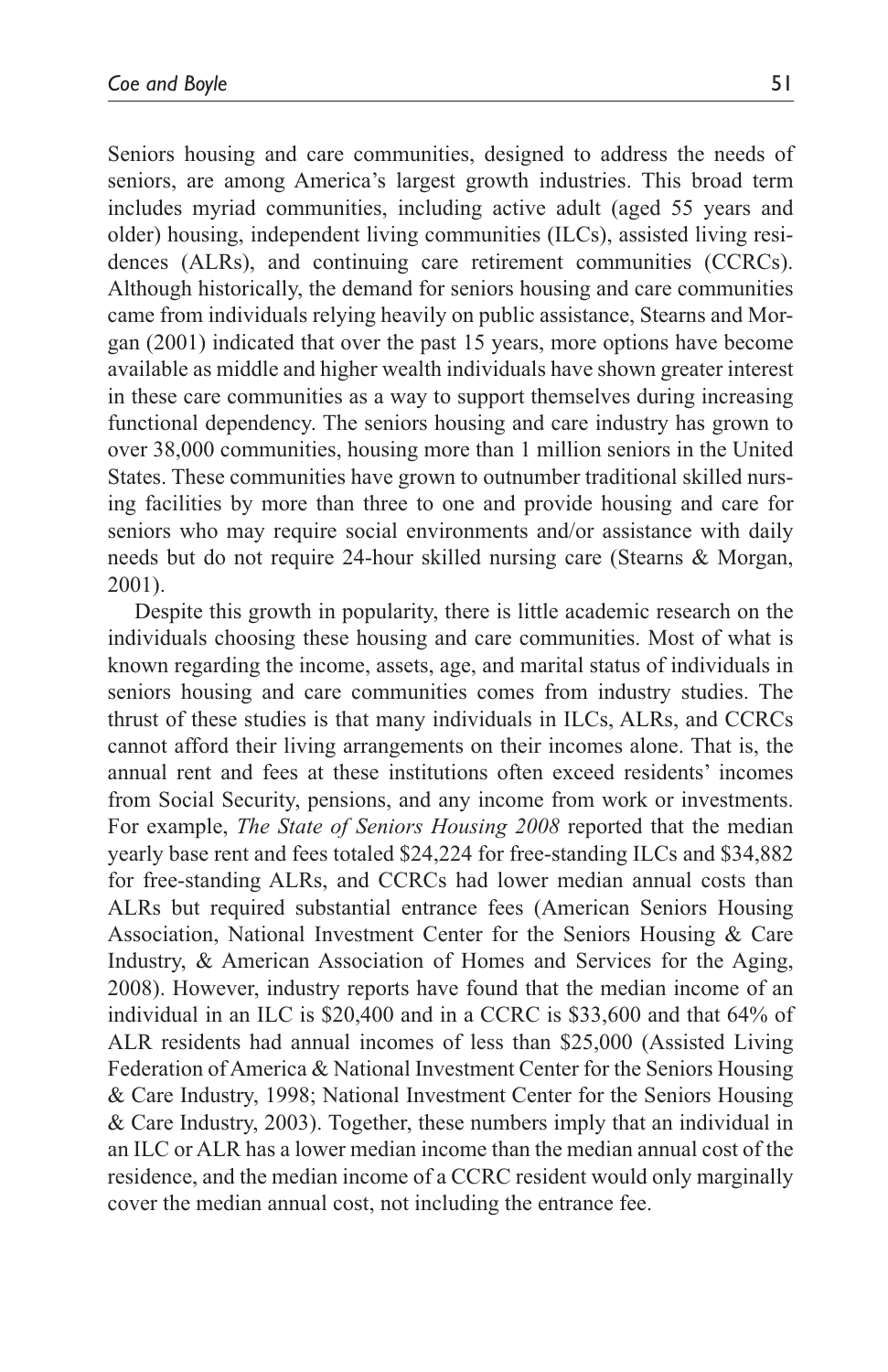Seniors housing and care communities, designed to address the needs of seniors, are among America's largest growth industries. This broad term includes myriad communities, including active adult (aged 55 years and older) housing, independent living communities (ILCs), assisted living residences (ALRs), and continuing care retirement communities (CCRCs). Although historically, the demand for seniors housing and care communities came from individuals relying heavily on public assistance, Stearns and Morgan (2001) indicated that over the past 15 years, more options have become available as middle and higher wealth individuals have shown greater interest in these care communities as a way to support themselves during increasing functional dependency. The seniors housing and care industry has grown to over 38,000 communities, housing more than 1 million seniors in the United States. These communities have grown to outnumber traditional skilled nursing facilities by more than three to one and provide housing and care for seniors who may require social environments and/or assistance with daily needs but do not require 24-hour skilled nursing care (Stearns & Morgan, 2001).

Despite this growth in popularity, there is little academic research on the individuals choosing these housing and care communities. Most of what is known regarding the income, assets, age, and marital status of individuals in seniors housing and care communities comes from industry studies. The thrust of these studies is that many individuals in ILCs, ALRs, and CCRCs cannot afford their living arrangements on their incomes alone. That is, the annual rent and fees at these institutions often exceed residents' incomes from Social Security, pensions, and any income from work or investments. For example, *The State of Seniors Housing 2008* reported that the median yearly base rent and fees totaled \$24,224 for free-standing ILCs and \$34,882 for free-standing ALRs, and CCRCs had lower median annual costs than ALRs but required substantial entrance fees (American Seniors Housing Association, National Investment Center for the Seniors Housing & Care Industry, & American Association of Homes and Services for the Aging, 2008). However, industry reports have found that the median income of an individual in an ILC is \$20,400 and in a CCRC is \$33,600 and that 64% of ALR residents had annual incomes of less than \$25,000 (Assisted Living Federation of America & National Investment Center for the Seniors Housing & Care Industry, 1998; National Investment Center for the Seniors Housing & Care Industry, 2003). Together, these numbers imply that an individual in an ILC or ALR has a lower median income than the median annual cost of the residence, and the median income of a CCRC resident would only marginally cover the median annual cost, not including the entrance fee.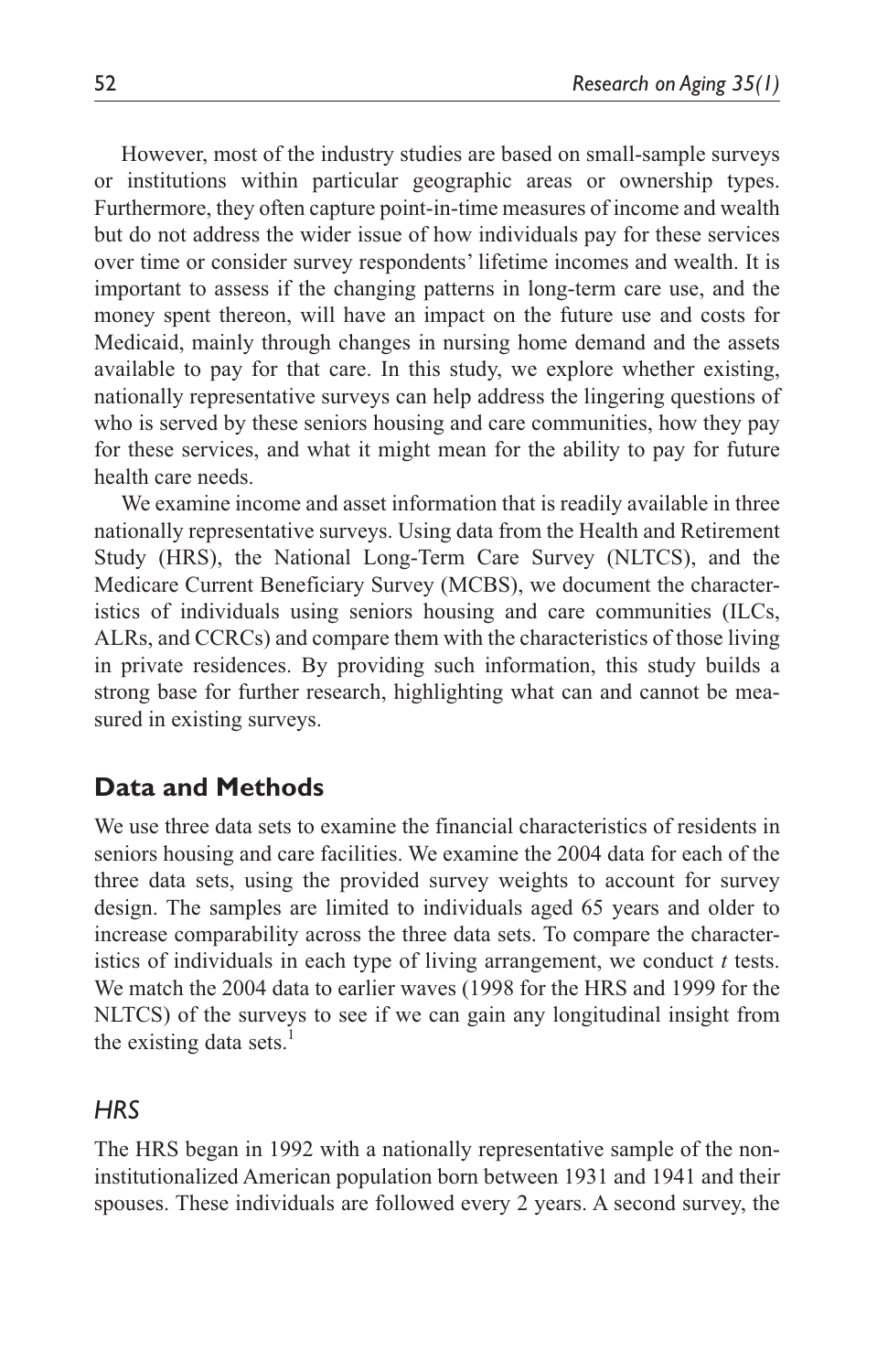However, most of the industry studies are based on small-sample surveys or institutions within particular geographic areas or ownership types. Furthermore, they often capture point-in-time measures of income and wealth but do not address the wider issue of how individuals pay for these services over time or consider survey respondents' lifetime incomes and wealth. It is important to assess if the changing patterns in long-term care use, and the money spent thereon, will have an impact on the future use and costs for Medicaid, mainly through changes in nursing home demand and the assets available to pay for that care. In this study, we explore whether existing, nationally representative surveys can help address the lingering questions of who is served by these seniors housing and care communities, how they pay for these services, and what it might mean for the ability to pay for future health care needs.

We examine income and asset information that is readily available in three nationally representative surveys. Using data from the Health and Retirement Study (HRS), the National Long-Term Care Survey (NLTCS), and the Medicare Current Beneficiary Survey (MCBS), we document the characteristics of individuals using seniors housing and care communities (ILCs, ALRs, and CCRCs) and compare them with the characteristics of those living in private residences. By providing such information, this study builds a strong base for further research, highlighting what can and cannot be measured in existing surveys.

# **Data and Methods**

We use three data sets to examine the financial characteristics of residents in seniors housing and care facilities. We examine the 2004 data for each of the three data sets, using the provided survey weights to account for survey design. The samples are limited to individuals aged 65 years and older to increase comparability across the three data sets. To compare the characteristics of individuals in each type of living arrangement, we conduct *t* tests. We match the 2004 data to earlier waves (1998 for the HRS and 1999 for the NLTCS) of the surveys to see if we can gain any longitudinal insight from the existing data sets.<sup>1</sup>

### *HRS*

The HRS began in 1992 with a nationally representative sample of the noninstitutionalized American population born between 1931 and 1941 and their spouses. These individuals are followed every 2 years. A second survey, the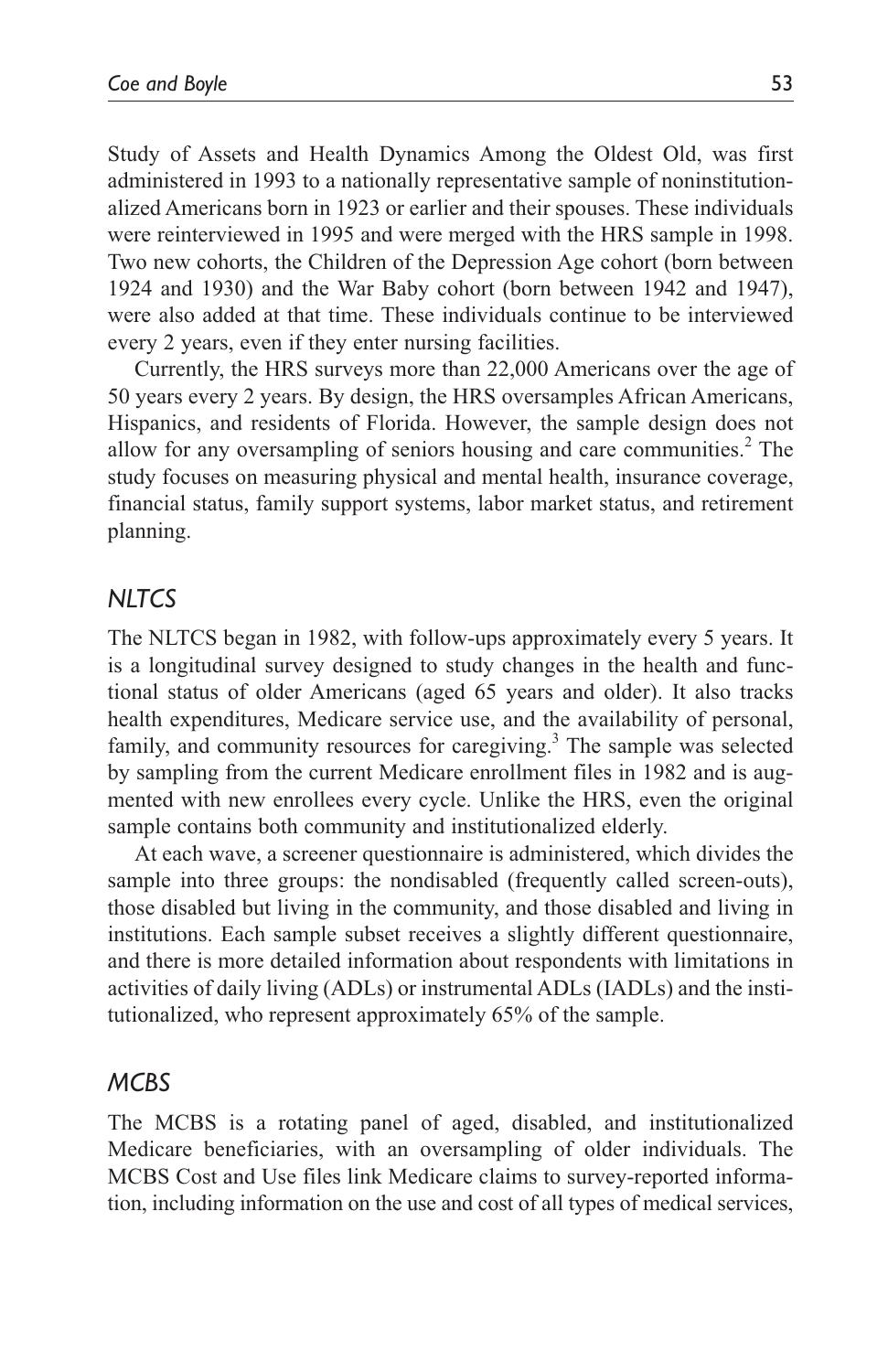Study of Assets and Health Dynamics Among the Oldest Old, was first administered in 1993 to a nationally representative sample of noninstitutionalized Americans born in 1923 or earlier and their spouses. These individuals were reinterviewed in 1995 and were merged with the HRS sample in 1998. Two new cohorts, the Children of the Depression Age cohort (born between 1924 and 1930) and the War Baby cohort (born between 1942 and 1947), were also added at that time. These individuals continue to be interviewed every 2 years, even if they enter nursing facilities.

Currently, the HRS surveys more than 22,000 Americans over the age of 50 years every 2 years. By design, the HRS oversamples African Americans, Hispanics, and residents of Florida. However, the sample design does not allow for any oversampling of seniors housing and care communities.<sup>2</sup> The study focuses on measuring physical and mental health, insurance coverage, financial status, family support systems, labor market status, and retirement planning.

### *NLTCS*

The NLTCS began in 1982, with follow-ups approximately every 5 years. It is a longitudinal survey designed to study changes in the health and functional status of older Americans (aged 65 years and older). It also tracks health expenditures, Medicare service use, and the availability of personal, family, and community resources for caregiving. $3$  The sample was selected by sampling from the current Medicare enrollment files in 1982 and is augmented with new enrollees every cycle. Unlike the HRS, even the original sample contains both community and institutionalized elderly.

At each wave, a screener questionnaire is administered, which divides the sample into three groups: the nondisabled (frequently called screen-outs), those disabled but living in the community, and those disabled and living in institutions. Each sample subset receives a slightly different questionnaire, and there is more detailed information about respondents with limitations in activities of daily living (ADLs) or instrumental ADLs (IADLs) and the institutionalized, who represent approximately 65% of the sample.

### *MCBS*

The MCBS is a rotating panel of aged, disabled, and institutionalized Medicare beneficiaries, with an oversampling of older individuals. The MCBS Cost and Use files link Medicare claims to survey-reported information, including information on the use and cost of all types of medical services,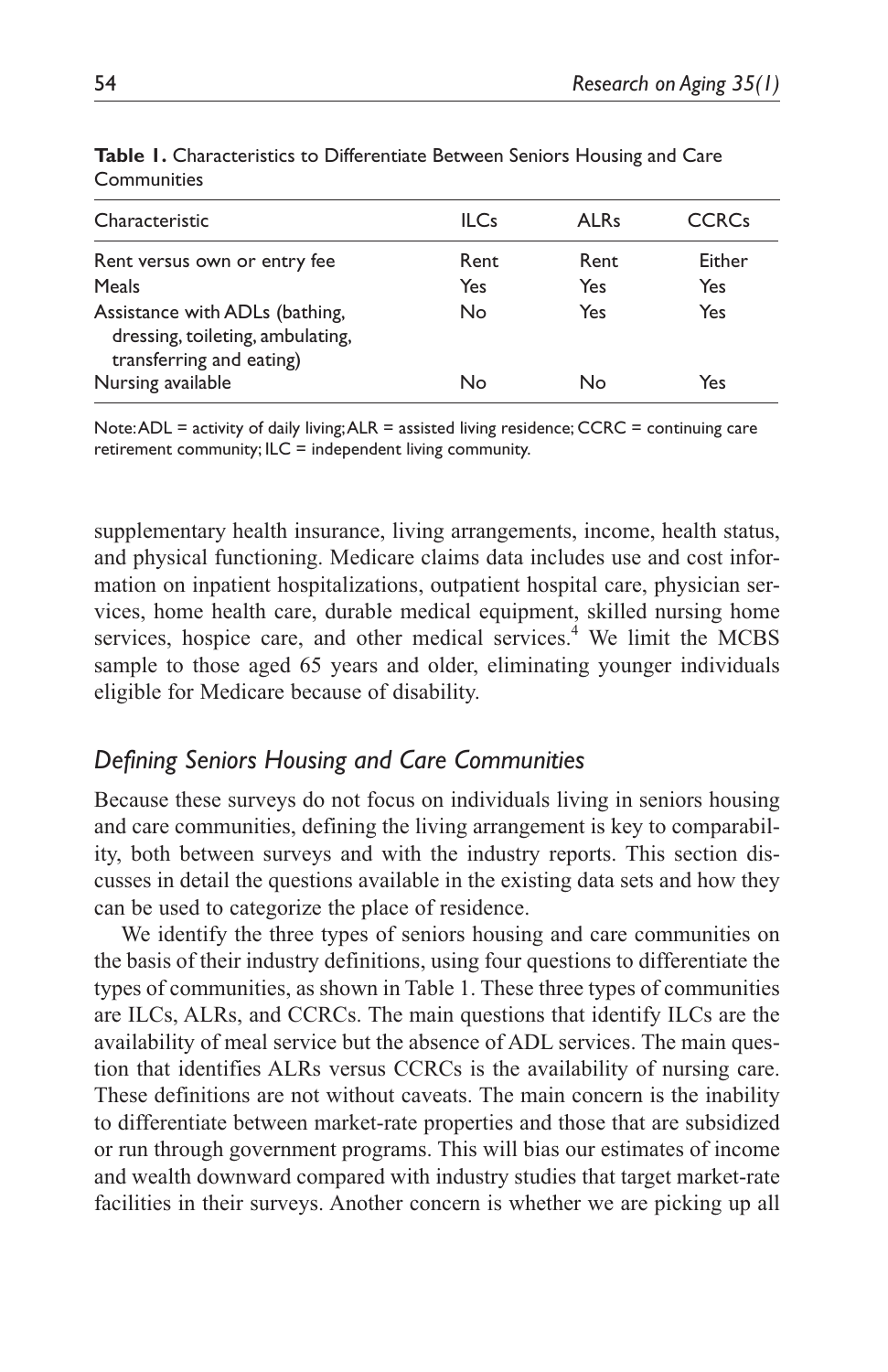| Characteristic                                                                                 | <b>ILCs</b> | ALR <sub>s</sub> | <b>CCRCs</b> |
|------------------------------------------------------------------------------------------------|-------------|------------------|--------------|
| Rent versus own or entry fee                                                                   | Rent        | Rent             | Either       |
| Meals                                                                                          | Yes         | Yes              | Yes          |
| Assistance with ADLs (bathing,<br>dressing, toileting, ambulating,<br>transferring and eating) | No          | Yes              | Yes          |
| Nursing available                                                                              | Nο          | Nο               | Yes          |

**Table 1.** Characteristics to Differentiate Between Seniors Housing and Care **Communities** 

Note:  $ADL =$  activity of daily living;  $ALR =$  assisted living residence;  $CCRC =$  continuing care retirement community; ILC = independent living community.

supplementary health insurance, living arrangements, income, health status, and physical functioning. Medicare claims data includes use and cost information on inpatient hospitalizations, outpatient hospital care, physician services, home health care, durable medical equipment, skilled nursing home services, hospice care, and other medical services.<sup>4</sup> We limit the MCBS sample to those aged 65 years and older, eliminating younger individuals eligible for Medicare because of disability.

### *Defining Seniors Housing and Care Communities*

Because these surveys do not focus on individuals living in seniors housing and care communities, defining the living arrangement is key to comparability, both between surveys and with the industry reports. This section discusses in detail the questions available in the existing data sets and how they can be used to categorize the place of residence.

We identify the three types of seniors housing and care communities on the basis of their industry definitions, using four questions to differentiate the types of communities, as shown in Table 1. These three types of communities are ILCs, ALRs, and CCRCs. The main questions that identify ILCs are the availability of meal service but the absence of ADL services. The main question that identifies ALRs versus CCRCs is the availability of nursing care. These definitions are not without caveats. The main concern is the inability to differentiate between market-rate properties and those that are subsidized or run through government programs. This will bias our estimates of income and wealth downward compared with industry studies that target market-rate facilities in their surveys. Another concern is whether we are picking up all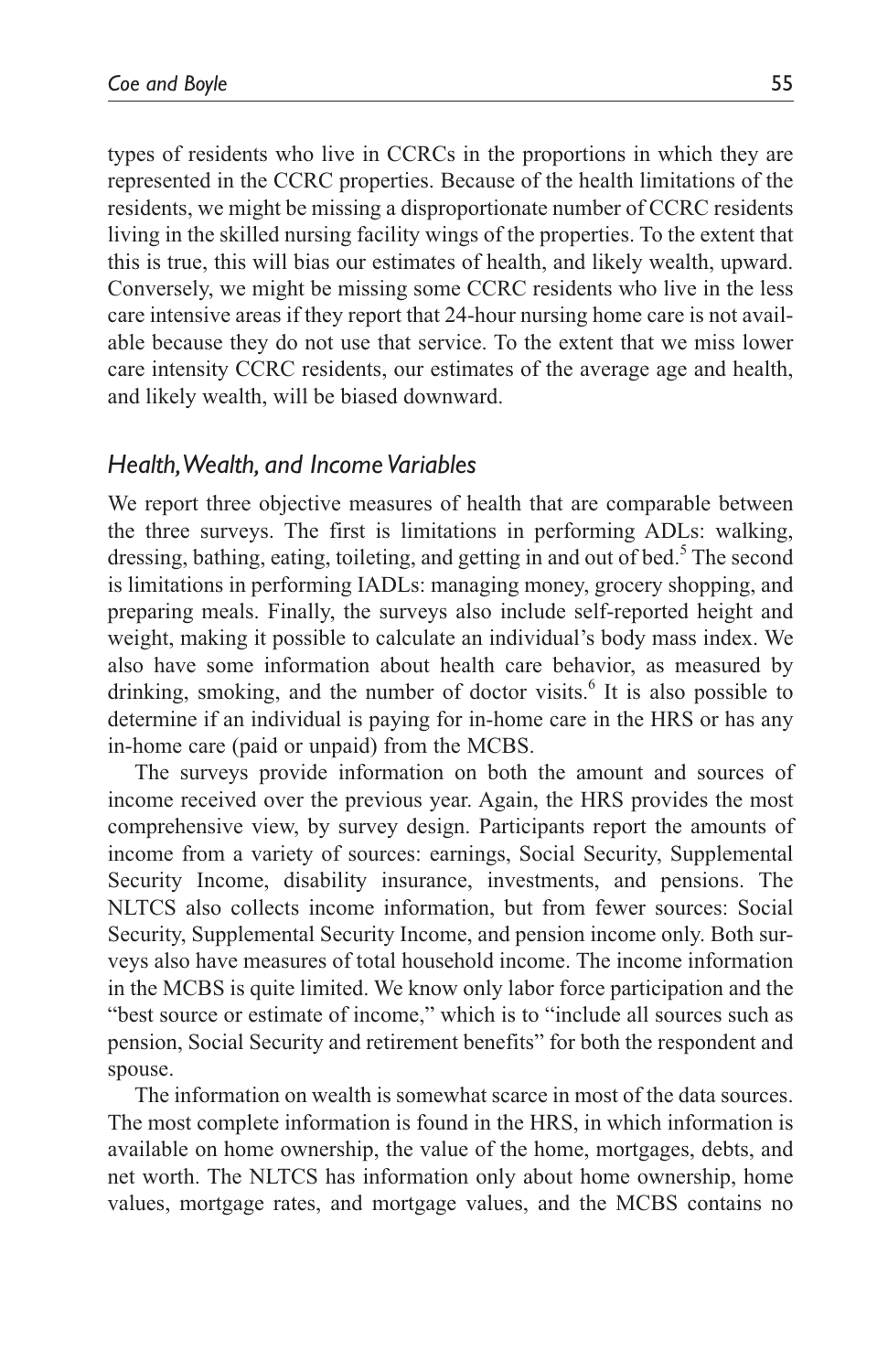types of residents who live in CCRCs in the proportions in which they are represented in the CCRC properties. Because of the health limitations of the residents, we might be missing a disproportionate number of CCRC residents living in the skilled nursing facility wings of the properties. To the extent that this is true, this will bias our estimates of health, and likely wealth, upward. Conversely, we might be missing some CCRC residents who live in the less care intensive areas if they report that 24-hour nursing home care is not available because they do not use that service. To the extent that we miss lower care intensity CCRC residents, our estimates of the average age and health, and likely wealth, will be biased downward.

### *Health, Wealth, and Income Variables*

We report three objective measures of health that are comparable between the three surveys. The first is limitations in performing ADLs: walking, dressing, bathing, eating, toileting, and getting in and out of bed.<sup>5</sup> The second is limitations in performing IADLs: managing money, grocery shopping, and preparing meals. Finally, the surveys also include self-reported height and weight, making it possible to calculate an individual's body mass index. We also have some information about health care behavior, as measured by drinking, smoking, and the number of doctor visits.<sup>6</sup> It is also possible to determine if an individual is paying for in-home care in the HRS or has any in-home care (paid or unpaid) from the MCBS.

The surveys provide information on both the amount and sources of income received over the previous year. Again, the HRS provides the most comprehensive view, by survey design. Participants report the amounts of income from a variety of sources: earnings, Social Security, Supplemental Security Income, disability insurance, investments, and pensions. The NLTCS also collects income information, but from fewer sources: Social Security, Supplemental Security Income, and pension income only. Both surveys also have measures of total household income. The income information in the MCBS is quite limited. We know only labor force participation and the "best source or estimate of income," which is to "include all sources such as pension, Social Security and retirement benefits" for both the respondent and spouse.

The information on wealth is somewhat scarce in most of the data sources. The most complete information is found in the HRS, in which information is available on home ownership, the value of the home, mortgages, debts, and net worth. The NLTCS has information only about home ownership, home values, mortgage rates, and mortgage values, and the MCBS contains no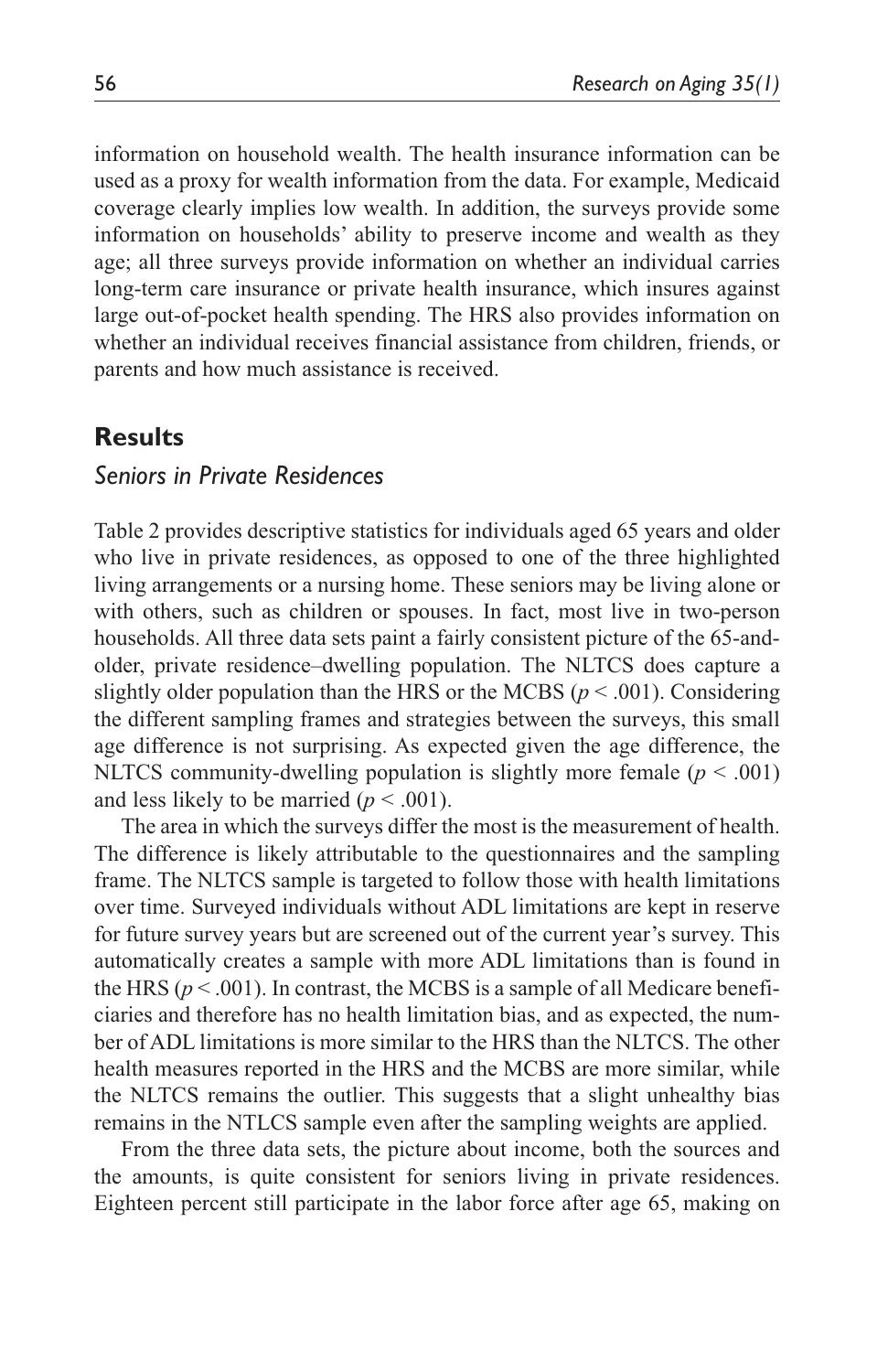information on household wealth. The health insurance information can be used as a proxy for wealth information from the data. For example, Medicaid coverage clearly implies low wealth. In addition, the surveys provide some information on households' ability to preserve income and wealth as they age; all three surveys provide information on whether an individual carries long-term care insurance or private health insurance, which insures against large out-of-pocket health spending. The HRS also provides information on whether an individual receives financial assistance from children, friends, or parents and how much assistance is received.

## **Results**

#### *Seniors in Private Residences*

Table 2 provides descriptive statistics for individuals aged 65 years and older who live in private residences, as opposed to one of the three highlighted living arrangements or a nursing home. These seniors may be living alone or with others, such as children or spouses. In fact, most live in two-person households. All three data sets paint a fairly consistent picture of the 65-andolder, private residence–dwelling population. The NLTCS does capture a slightly older population than the HRS or the MCBS ( $p < .001$ ). Considering the different sampling frames and strategies between the surveys, this small age difference is not surprising. As expected given the age difference, the NLTCS community-dwelling population is slightly more female  $(p < .001)$ and less likely to be married  $(p < .001)$ .

The area in which the surveys differ the most is the measurement of health. The difference is likely attributable to the questionnaires and the sampling frame. The NLTCS sample is targeted to follow those with health limitations over time. Surveyed individuals without ADL limitations are kept in reserve for future survey years but are screened out of the current year's survey. This automatically creates a sample with more ADL limitations than is found in the HRS ( $p < .001$ ). In contrast, the MCBS is a sample of all Medicare beneficiaries and therefore has no health limitation bias, and as expected, the number of ADL limitations is more similar to the HRS than the NLTCS. The other health measures reported in the HRS and the MCBS are more similar, while the NLTCS remains the outlier. This suggests that a slight unhealthy bias remains in the NTLCS sample even after the sampling weights are applied.

From the three data sets, the picture about income, both the sources and the amounts, is quite consistent for seniors living in private residences. Eighteen percent still participate in the labor force after age 65, making on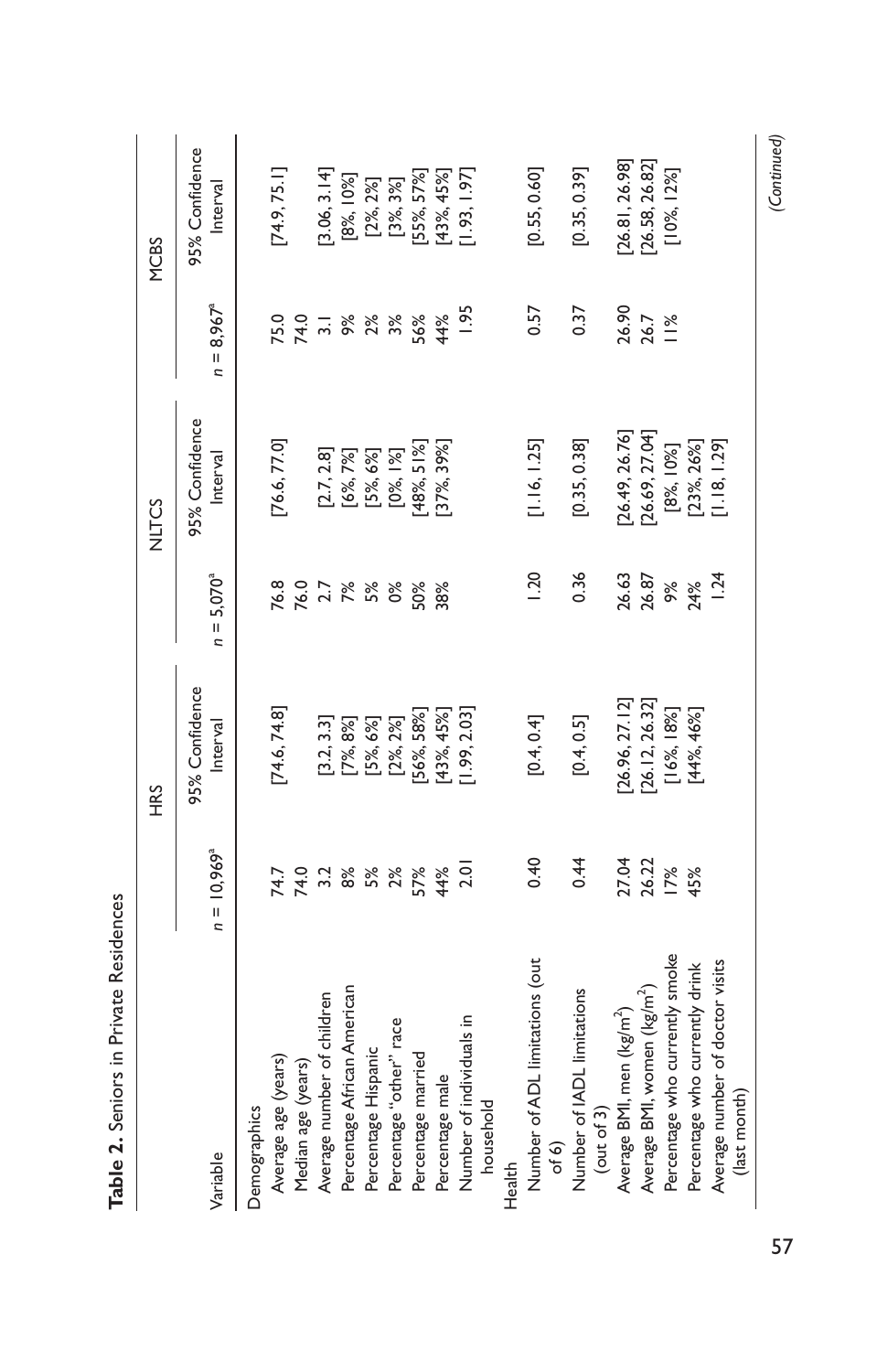|                                         |                      | <b>SSH</b>                       |                     | NLTCS                      |                                | <b>MCBS</b>                  |
|-----------------------------------------|----------------------|----------------------------------|---------------------|----------------------------|--------------------------------|------------------------------|
| Variable                                | $n = 10,969^{\circ}$ | 95% Confidence<br>Interval       | $n = 5,070^{\circ}$ | 95% Confidence<br>Interval | $n = 8,967^a$                  | 95% Confidence<br>Interval   |
| Demographics                            |                      |                                  |                     |                            |                                |                              |
| Average age (years)                     | 74.7                 | [74.6, 74.8]                     | 76.8                | [76.6, 77.0]               |                                | [74.9, 75.1]                 |
| Median age (years)                      |                      |                                  | 76.0                |                            |                                |                              |
| Average number of children              | 74.0<br>3.2          | [3.2, 3.3]                       |                     | [2.7, 2.8]                 |                                | 3.06, 3.14                   |
| Percentage African American             |                      |                                  | 2.7<br>7%<br>5%     | [6%, 7%]                   | 0.0.1 % % % %<br>K H m & x % % | [8%, 10%]                    |
| Percentage Hispanic                     | 8%<br>5%             | [7%, 8%]<br>[5%, 6%]<br>[2%, 2%] |                     | [5%, 6%]                   |                                |                              |
| Percentage "other" race                 | 2%                   |                                  | $\delta$            | [0%, 1%]                   |                                | $[2\%, 2\%]$<br>$[3\%, 3\%]$ |
| Percentage married                      | 57%                  | 56%, 58%                         | 50%                 | 48%, 51%                   | 56%                            | 55%, 57%]                    |
| Percentage male                         | 44%                  | 43%, 45%                         | 38%                 | 37%, 39%                   | 44%                            | 43%, 45%]                    |
| Number of individuals in                | 2.01                 | 1.99, 2.03                       |                     |                            | 1.95                           | 1.93, 1.97                   |
| household                               |                      |                                  |                     |                            |                                |                              |
| Health                                  |                      |                                  |                     |                            |                                |                              |
| Number of ADL limitations (out<br>of 6) | 0.40                 | [0.4, 0.4]                       | 1.20                | [1.16, 1.25]               | 0.57                           | [0.55, 0.60]                 |
| Number of IADL limitations              | 0.44                 | [0.4, 0.5]                       | 0.36                | [0.35, 0.38]               | 0.37                           | [0.35, 0.39]                 |
| $($ out of 3 $)$                        |                      |                                  |                     |                            |                                |                              |
| Average BMI, men (kg/m <sup>2</sup> )   | 27.04                | 26.96, 27.12                     | 26.63               | [26.49, 26.76]             |                                | 26.81, 26.98]                |
| Average BMI, women (kg/m <sup>2</sup> ) | 26.22                | [26.12, 26.32]                   | 26.87               | [26.69, 27.04]             | 26.90<br>26.7                  | 26.58, 26.82]                |
| Percentage who currently smoke          | 17%                  | $[16\%, 18\%]$                   | 9%                  | [8%, 10%]                  | $\frac{8}{10}$                 | $[10\%, 12\%]$               |
| Percentage who currently drink          | 45%                  | [44%, 46%]                       | 24%                 | $[23\%, 26\%]$             |                                |                              |
| Average number of doctor visits         |                      |                                  | 1.24                | [1.18, 1.29]               |                                |                              |
| (last month)                            |                      |                                  |                     |                            |                                |                              |

Table 2. Seniors in Private Residences **Table 2.** Seniors in Private Residences

57

*(Continued)*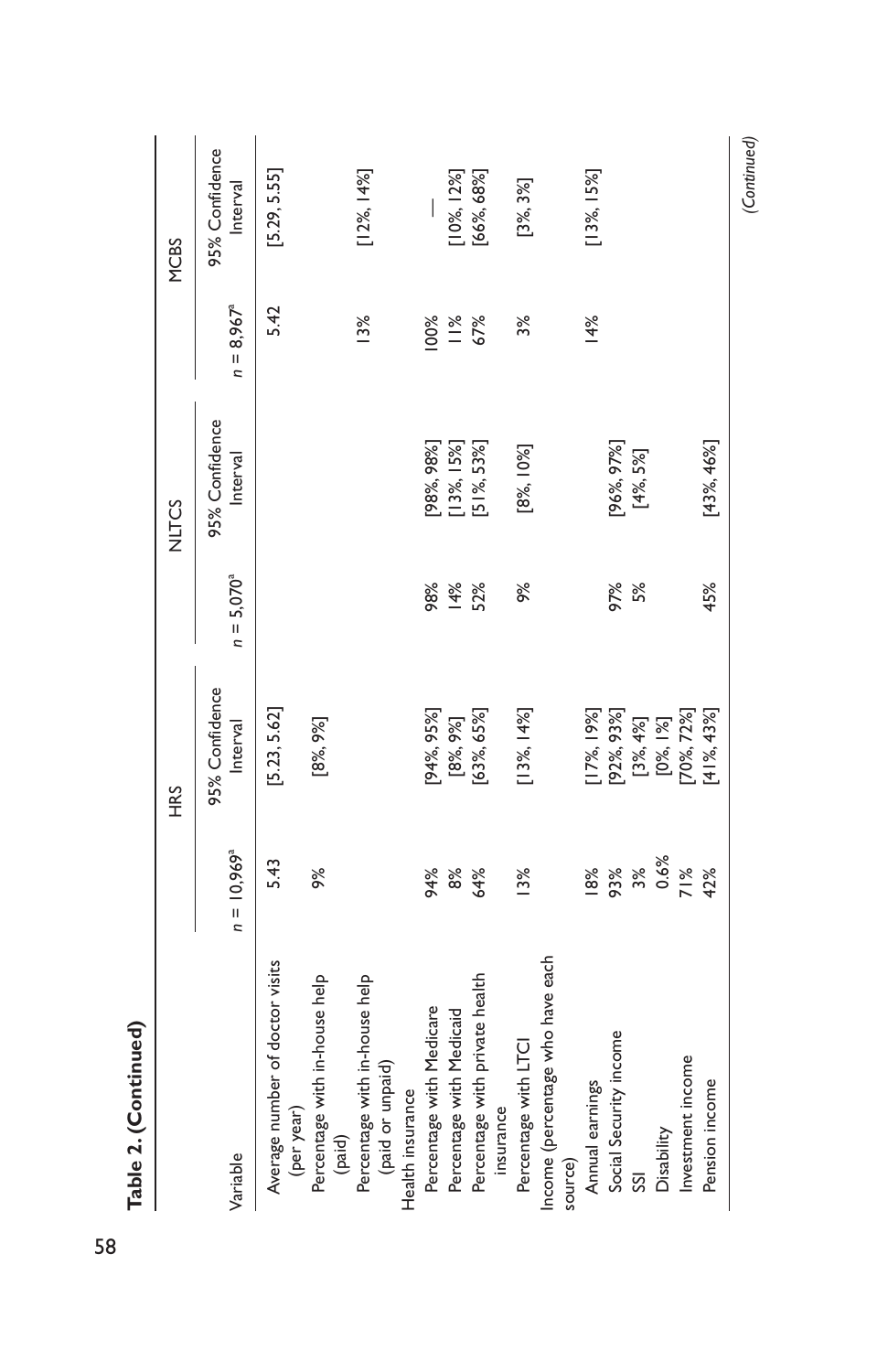|                                                       |                      | <b>SSH</b>                 |               | NLTCS                      |                     | <b>MCBS</b>                |
|-------------------------------------------------------|----------------------|----------------------------|---------------|----------------------------|---------------------|----------------------------|
| Variable                                              | $n = 10,969^a$       | 95% Confidence<br>Interval | $n = 5,070^a$ | 95% Confidence<br>Interval | $n = 8,967^{\circ}$ | 95% Confidence<br>Interval |
| Average number of doctor visits                       | 5.43                 | [5.23, 5.62]               |               |                            | 5.42                | [5.29, 5.55]               |
| Percentage with in-house help<br>(per year)<br>(paid) | 9%                   | [8%, 9%]                   |               |                            |                     |                            |
| Percentage with in-house help<br>(paid or unpaid)     |                      |                            |               |                            | 13%                 | $[12\%, 14\%]$             |
| Health insurance                                      |                      |                            |               |                            |                     |                            |
| Percentage with Medicare                              | 94%                  | $[94\%, 95\%]$             | 98%           | [98%, 98%]                 | 100%                |                            |
| Percentage with Medicaid                              | 8%                   | $[8\%, 9\%]$               |               | $[13\%, 15\%]$             | $\frac{1}{8}$       | $[10\%, 12\%]$             |
| Percentage with private health                        | 64%                  | 63%, 65%]                  | 14%<br>52%    | 51%, 53%]                  | 67%                 | [66%, 68%]                 |
| insurance                                             |                      |                            |               |                            |                     |                            |
| Percentage with LTCI                                  | 13%                  | [13%, 14%]                 | 9%            | $[8\%, 10\%]$              | 3%                  | [3%, 3%]                   |
| Income (percentage who have each                      |                      |                            |               |                            |                     |                            |
| source)                                               |                      |                            |               |                            |                     |                            |
| Annual earnings                                       | 18%                  | $[17\%, 19\%]$             |               |                            | 14%                 | [13%, 15%]                 |
| Social Security income                                | 93%                  | [92%, 93%]                 | 97%           | 96%, 97%]                  |                     |                            |
| SSI                                                   | 3%                   | [3%, 4%]                   | 5%            | $[4\%, 5\%]$               |                     |                            |
| Disability                                            |                      | [0%, 1%]                   |               |                            |                     |                            |
| Investment income                                     | $\frac{0.6\%}{71\%}$ | 70%, 72%]                  |               |                            |                     |                            |
| Pension income                                        |                      | $[41\%, 43\%]$             | 45%           | [43%, 46%]                 |                     |                            |
|                                                       |                      |                            |               |                            |                     | (Continued)                |

Table 2. (Continued) **Table 2. (Continued)**

58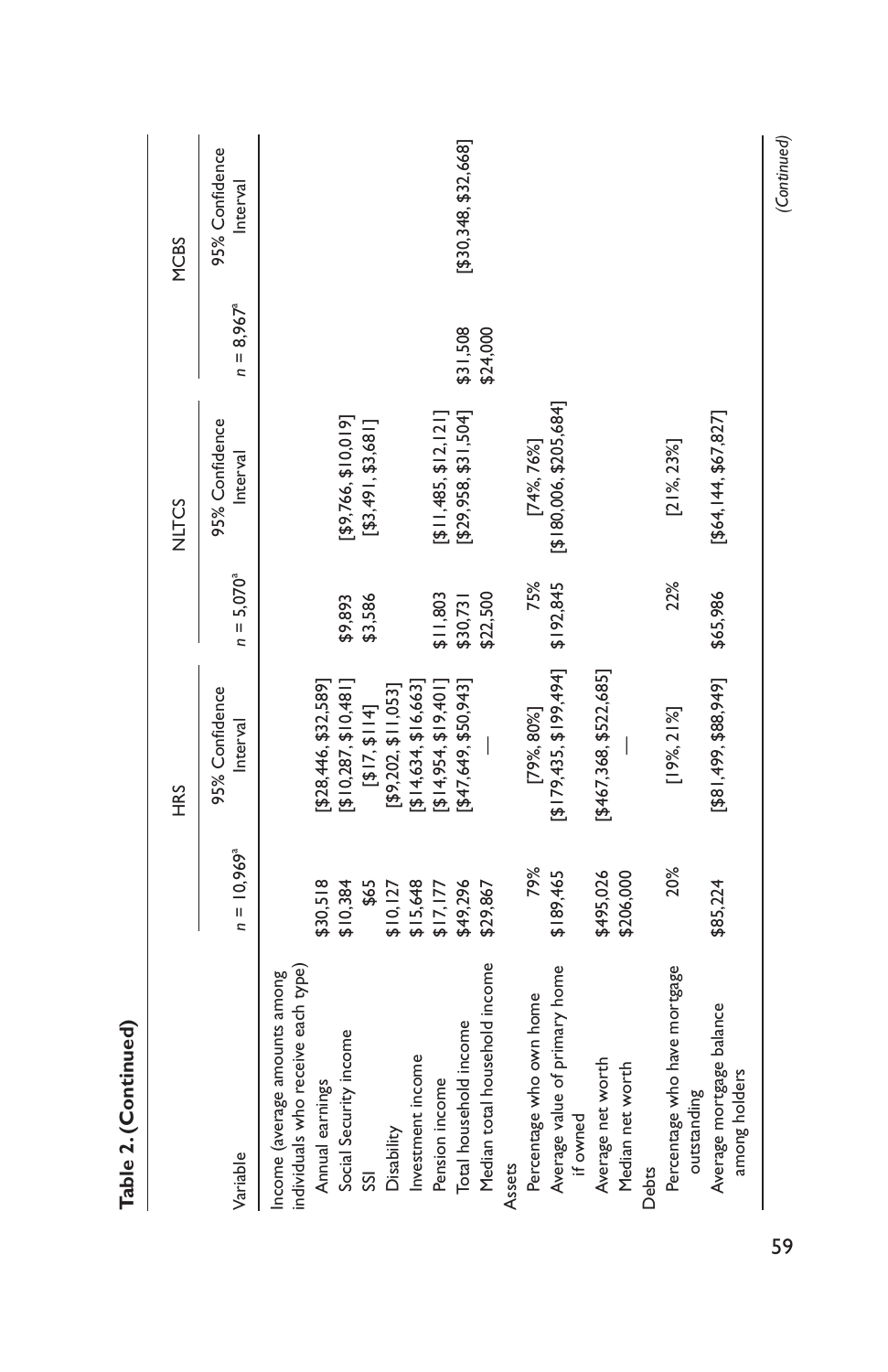|                                                                     |                | HRS                        |               | NLTCS                      |               | <b>MCBS</b>                |
|---------------------------------------------------------------------|----------------|----------------------------|---------------|----------------------------|---------------|----------------------------|
| Variable                                                            | $n = 10,969^a$ | 95% Confidence<br>Interval | $n = 5,070^a$ | 95% Confidence<br>Interval | $n = 8,967^a$ | 95% Confidence<br>Interval |
| individuals who receive each type)<br>Income (average amounts among |                |                            |               |                            |               |                            |
| Annual earnings                                                     | \$30,518       | \$28,446, \$32,589]        |               |                            |               |                            |
| Social Security income                                              | \$10,384       | \$10,287, \$10,481]        | \$9,893       | [\$9,766, \$10,019]        |               |                            |
| SSI                                                                 | \$65           | [4]                        | \$3,586       | [43,491,43,681]            |               |                            |
| Disability                                                          | \$10, 127      | [\$9,202, \$11,053]        |               |                            |               |                            |
| Investment income                                                   | \$15,648       | [\$14,634, \$16,663]       |               |                            |               |                            |
| Pension income                                                      | \$17,177       | \$14,954, \$19,401]        | \$11,803      | $[$ [\$  ,485, \$ 2, 2 ]   |               |                            |
| Total household income                                              | \$49,296       | \$47,649, \$50,943]        | \$30,731      | [429,958, \$31,504]        | \$31,508      | [\$30,348, \$32,668]       |
| Median total household income                                       | \$29,867       |                            | \$22,500      |                            | \$24,000      |                            |
| Assets                                                              |                |                            |               |                            |               |                            |
| Percentage who own home                                             | 79%            | [79%, 80%]                 | 75%           | [74%, 76%]                 |               |                            |
| Average value of primary home<br>if owned                           | \$189,465      | [479,435, \$199,494]       | \$192,845     | [\$180,006, \$205,684]     |               |                            |
| Average net worth                                                   | \$495,026      | [\$467,368, \$522,685]     |               |                            |               |                            |
| Median net worth                                                    | \$206,000      |                            |               |                            |               |                            |
| Debts                                                               |                |                            |               |                            |               |                            |
| Percentage who have mortgage<br>outstanding                         | 20%            | [19%, 21%]                 | 22%           | $[21\%, 23\%]$             |               |                            |
| Average mortgage balance<br>among holders                           | \$85,224       | [499, 499, 498, 949]       | \$65,986      | [\$64,144, \$67,827]       |               |                            |
|                                                                     |                |                            |               |                            |               |                            |

**Table 2. (Continued)**

Table 2. (Continued)

59

*(Continued)*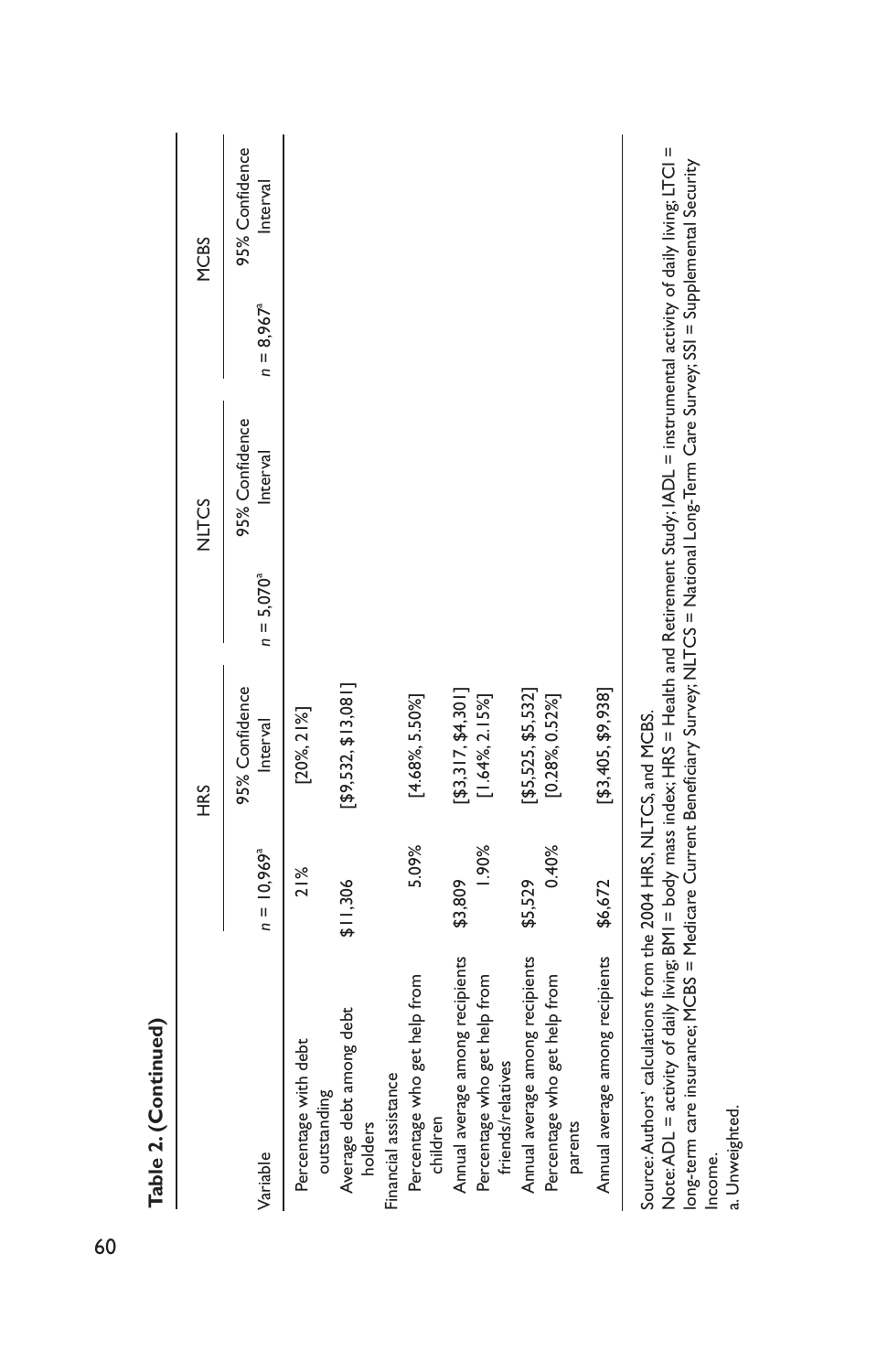|                                                   |                  | HRS                        |               | NLTCS                      |               | <b>MCBS</b>                |
|---------------------------------------------------|------------------|----------------------------|---------------|----------------------------|---------------|----------------------------|
| Variable                                          | $n = 10.969^{a}$ | 95% Confidence<br>Interval | $n = 5,070^a$ | 95% Confidence<br>Interval | $n = 8.967^a$ | 95% Confidence<br>Interval |
| Percentage with debt<br>outstanding               | 21%              | 20%, 21%]                  |               |                            |               |                            |
| Average debt among debt<br>holders                | \$11,306         | [\$9,532, \$13,081]        |               |                            |               |                            |
| Financial assistance                              |                  |                            |               |                            |               |                            |
| Percentage who get help from<br>children          | 5.09%            | $[4.68\%, 5.50\%]$         |               |                            |               |                            |
| Annual average among recipients                   | \$3,809          | [43,317,44,301]            |               |                            |               |                            |
| Percentage who get help from<br>friends/relatives | 1.90%            | $[1.64\%, 2.15\%]$         |               |                            |               |                            |
| Annual average among recipients                   | \$5,529          | [\$5,525, \$55,532]        |               |                            |               |                            |
| Percentage who get help from<br>parents           | 0.40%            | $[0.28\%, 0.52\%]$         |               |                            |               |                            |
| Annual average among recipients                   | \$6,672          | [\$3,405, \$9,938]         |               |                            |               |                            |
|                                                   |                  |                            |               |                            |               |                            |

Source: Authors' calculations from the 2004 HRS, NLTCS, and MCBS. Source: Authors' calculations from the 2004 HRS, NLTCS, and MCBS.  $\overline{\phantom{a}}$ 

Note:ADL = activity of daily living: BMI = body mass index: HRS = Health and Retirement Study: IADL = instrumental activity of daily living: LTCI =<br>Iong-term care insurance: MCBS = Medicare Current Beneficiary Survey; NLTC Note: ADL = activity of daily living; BMI = body mass index; HRS = Health and Retirement Study; IADL = instrumental activity of daily living; LTCI = long-term care insurance; MCBS = Medicare Current Beneficiary Survey; NLTCS = National Long-Term Care Survey; SSI = Supplemental Security Income.

a. Unweighted. a. Unweighted.

60

**Table 2. (Continued)**

Table 2. (Continued)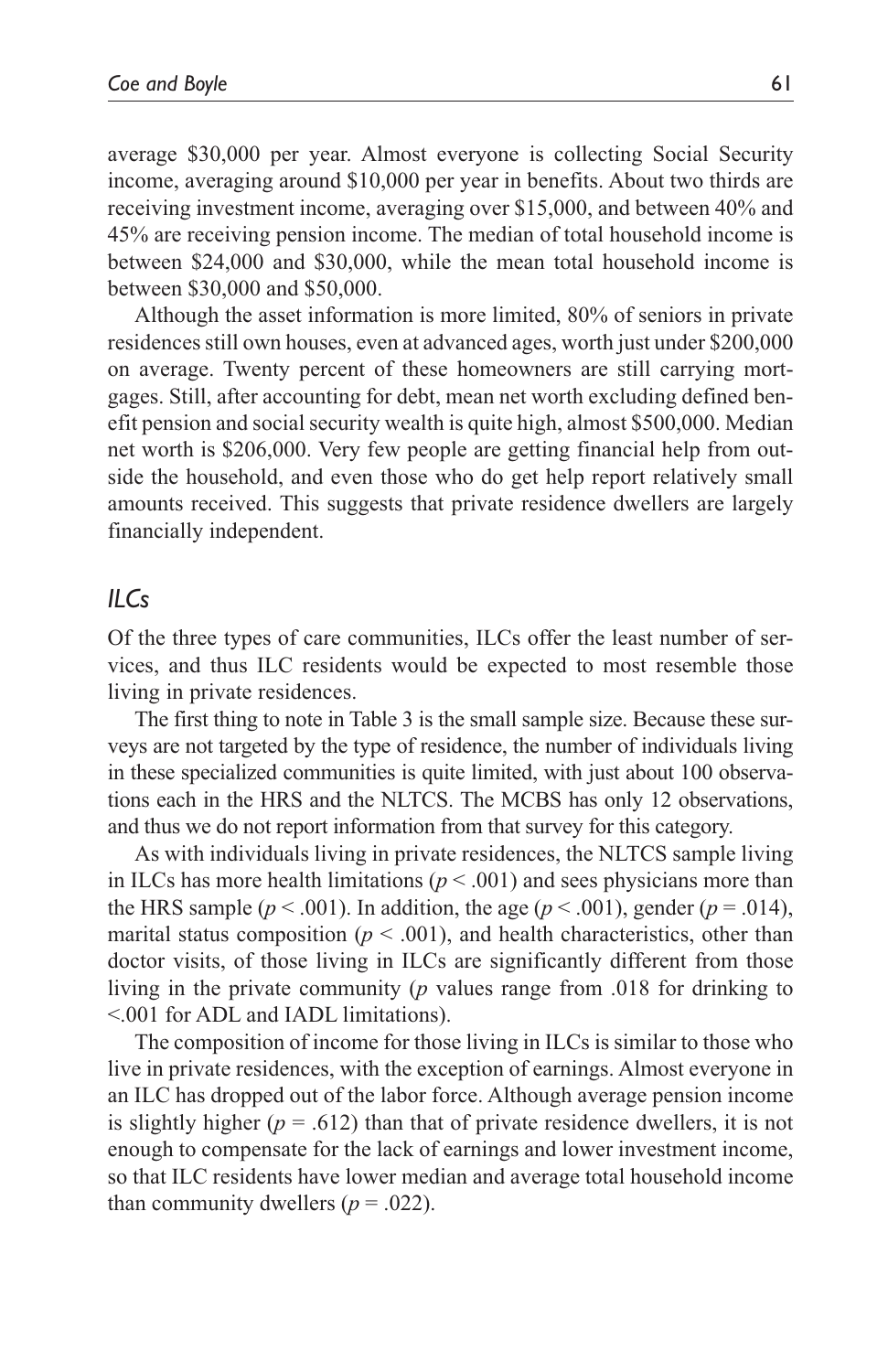average \$30,000 per year. Almost everyone is collecting Social Security income, averaging around \$10,000 per year in benefits. About two thirds are receiving investment income, averaging over \$15,000, and between 40% and 45% are receiving pension income. The median of total household income is between \$24,000 and \$30,000, while the mean total household income is between \$30,000 and \$50,000.

Although the asset information is more limited, 80% of seniors in private residences still own houses, even at advanced ages, worth just under \$200,000 on average. Twenty percent of these homeowners are still carrying mortgages. Still, after accounting for debt, mean net worth excluding defined benefit pension and social security wealth is quite high, almost \$500,000. Median net worth is \$206,000. Very few people are getting financial help from outside the household, and even those who do get help report relatively small amounts received. This suggests that private residence dwellers are largely financially independent.

### *ILCs*

Of the three types of care communities, ILCs offer the least number of services, and thus ILC residents would be expected to most resemble those living in private residences.

The first thing to note in Table 3 is the small sample size. Because these surveys are not targeted by the type of residence, the number of individuals living in these specialized communities is quite limited, with just about 100 observations each in the HRS and the NLTCS. The MCBS has only 12 observations, and thus we do not report information from that survey for this category.

As with individuals living in private residences, the NLTCS sample living in ILCs has more health limitations ( $p < .001$ ) and sees physicians more than the HRS sample  $(p < .001)$ . In addition, the age  $(p < .001)$ , gender  $(p = .014)$ , marital status composition ( $p < .001$ ), and health characteristics, other than doctor visits, of those living in ILCs are significantly different from those living in the private community (*p* values range from .018 for drinking to <.001 for ADL and IADL limitations).

The composition of income for those living in ILCs is similar to those who live in private residences, with the exception of earnings. Almost everyone in an ILC has dropped out of the labor force. Although average pension income is slightly higher ( $p = .612$ ) than that of private residence dwellers, it is not enough to compensate for the lack of earnings and lower investment income, so that ILC residents have lower median and average total household income than community dwellers  $(p = .022)$ .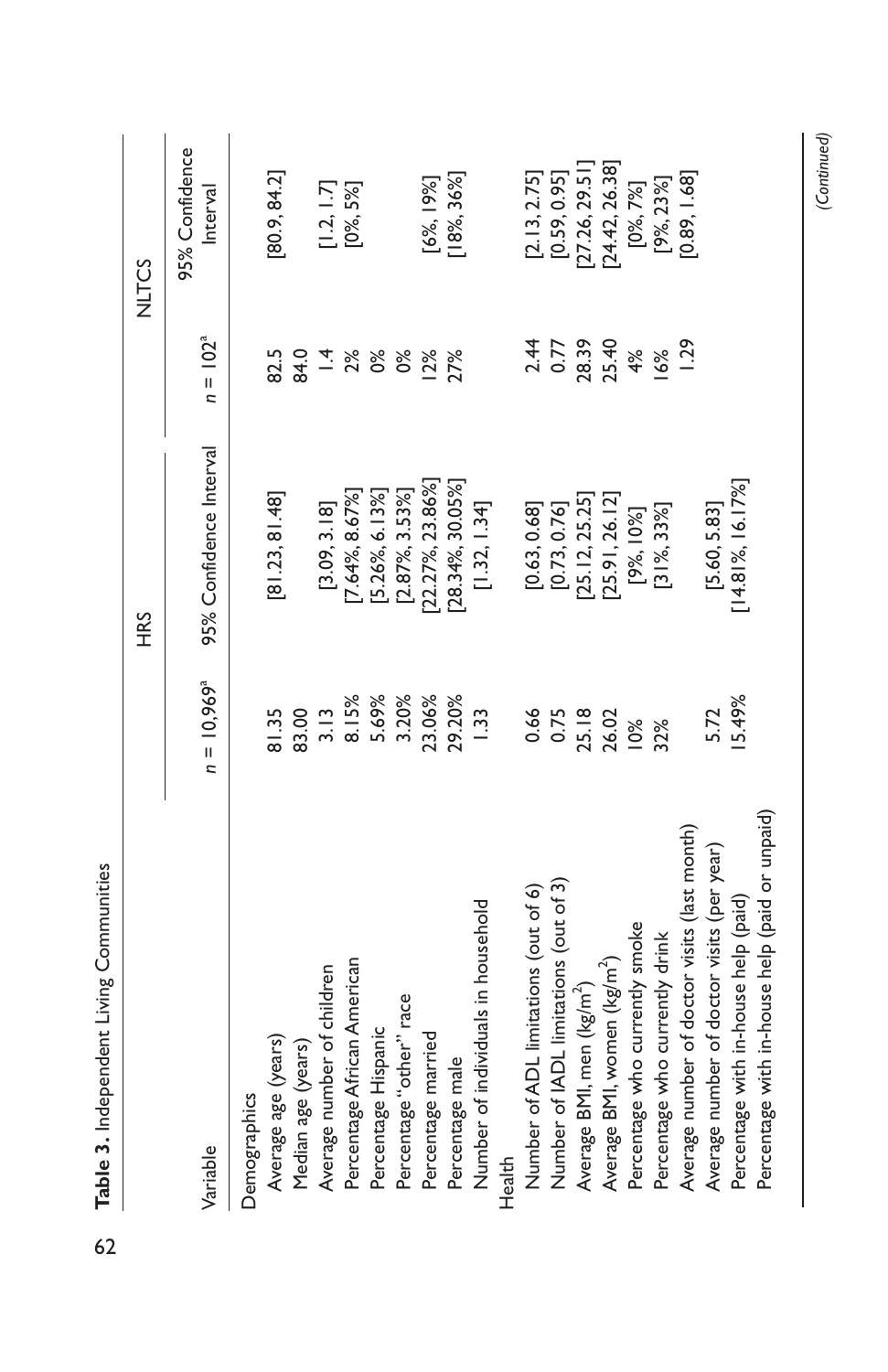|                                                |                  | HRS                     |             | <b>NLTCS</b>               |
|------------------------------------------------|------------------|-------------------------|-------------|----------------------------|
| Variable                                       | $n = 10,969^{a}$ | 95% Confidence Interval | $n = 102^a$ | 95% Confidence<br>Interval |
| Demographics                                   |                  |                         |             |                            |
| Average age (years)                            | 81.35            | [81.23, 81.48]          | 82.5        | [80.9, 84.2]               |
| Median age (years)                             | 83.00            |                         | 84.0        |                            |
| Average number of children                     | 3.13             | [3.09, 3.18]            | $\vec{r}$   | [1.2, 1.7]                 |
| Percentage African American                    | 8.15%            | $[7.64\%, 8.67\%]$      | 2%          | $[0\%, 5\%]$               |
| Percentage Hispanic                            | 5.69%            | $[5.26\%, 6.13\%]$      | $\delta$    |                            |
| Percentage "other" race                        | 3.20%            | $[2.87\%, 3.53\%]$      | ò§          |                            |
| Percentage married                             | 23.06%           | $[22.27\%, 23.86\%]$    | 12%         | [6%, 19%]                  |
| Percentage male                                | 29.20%           | 28.34%, 30.05%]         | 27%         | $[18\%, 36\%]$             |
| Number of individuals in household             | 1.33             | [1.32, 1.34]            |             |                            |
| Health                                         |                  |                         |             |                            |
| Number of ADL limitations (out of 6)           | 0.66             | [0.63, 0.68]            | 2.44        | [2.13, 2.75]               |
| Number of IADL limitations (out of 3)          | 0.75             | [0.73, 0.76]            | 0.77        | [0.59, 0.95]               |
| Average BMI, men (kg/m <sup>2</sup> )          | 25.18            | [25.12, 25.25]          | 28.39       | [27.26, 29.51]             |
| Average BMI, women (kg/m <sup>2</sup> )        | 26.02            | [25.91, 26.12]          | 25.40       | [24.42, 26.38]             |
| Percentage who currently smoke                 | 10%              | [9%, 10%]               | 4%          | $[0\%, 7\%]$               |
| Percentage who currently drink                 | 32%              | $[31\%, 33\%]$          | 16%         | [9%, 23%]                  |
| Average number of doctor visits (last month)   |                  |                         | 1.29        | [0.89, 1.68]               |
| Average number of doctor visits (per year)     | 5.72             | [5.60, 5.83]            |             |                            |
| Percentage with in-house help (paid)           | 15.49%           | $[14.81\%, 16.17\%]$    |             |                            |
| Percentage with in-house help (paid or unpaid) |                  |                         |             |                            |

*(Continued)*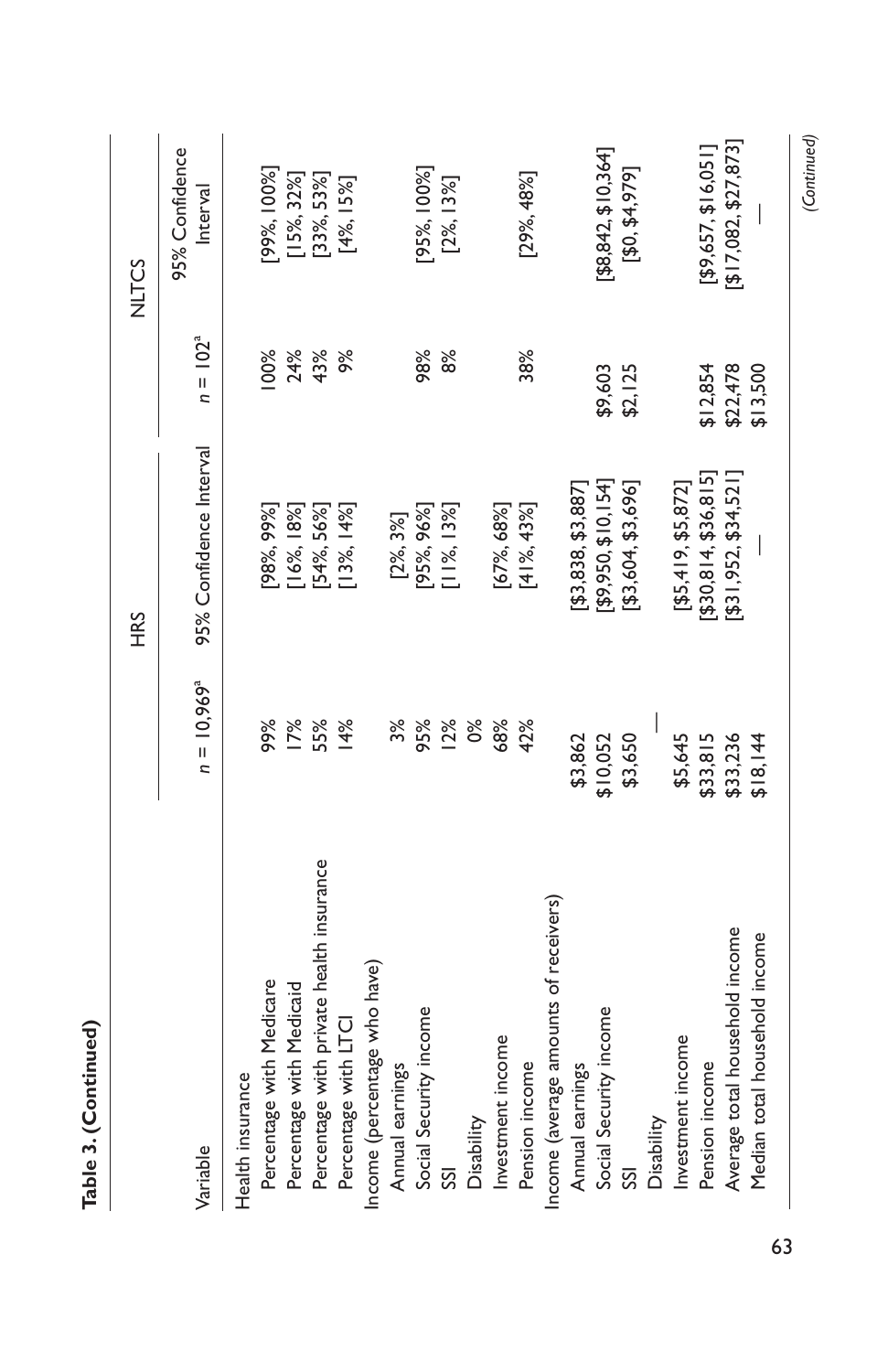|                                          |                  | HRS                     |               | NLTCS                      |
|------------------------------------------|------------------|-------------------------|---------------|----------------------------|
| Variable                                 | $n = 10,969^{a}$ | 95% Confidence Interval | $n = 102^{a}$ | 95% Confidence<br>Interval |
| Health insurance                         |                  |                         |               |                            |
| Percentage with Medicare                 | 99%              | 98%, 99%                | 00%           | 99%, 100%]                 |
| Percentage with Medicaid                 | 17%              | $[16\%, 18\%]$          | 24%           | [15%, 32%]                 |
| Percentage with private health insurance | 55%              | 54%, 56%]               | 43%           | $[33\%, 53\%]$             |
| Percentage with LTCI                     | 14%              | [13%, 14%]              | 9%            | $[4\%, 15\%]$              |
| Income (percentage who have)             |                  |                         |               |                            |
| Annual earnings                          | $3\%$            | $[2\%, 3\%]$            |               |                            |
| Social Security income                   | 95%              | [95%, 96%]              | 98%           | [95%, 100%]                |
| S                                        | 12%              | $[11\%, 13\%]$          | 8%            | $[2\%, 13\%]$              |
| Disability                               | $\delta$         |                         |               |                            |
| Investment income                        | 68%              | $[67\%, 68\%]$          |               |                            |
| Pension income                           | 42%              | $[41\%, 43\%]$          | 38%           | [29%, 48%]                 |
| Income (average amounts of receivers)    |                  |                         |               |                            |
| Annual earnings                          | \$3,862          | \$3,838, \$3,887]       |               |                            |
| Social Security income                   | \$10,052         | [49,950, \$10,154]      | \$9,603       | [48, 842, 410, 364]        |
| ပ္တ                                      | \$3,650          | [\$3,604, \$3,696]      | \$2,125       | [\$0,\$4,979]              |
| Disability                               |                  |                         |               |                            |
| Investment income                        | \$5,645          | [\$5,419, \$5,872]      |               |                            |
| Pension income                           | \$33,815         | [430,814,436,815]       | \$12,854      | [\$9,657, \$16,051]        |
| Average total household income           | \$33,236         | \$31,952, \$34,521]     | \$22,478      | [\$17,082, \$27,873]       |
| Median total household income            | \$18,144         |                         | \$13,500      |                            |
|                                          |                  |                         |               | (Continued)                |

**Table 3. (Continued)**

Table 3. (Continued)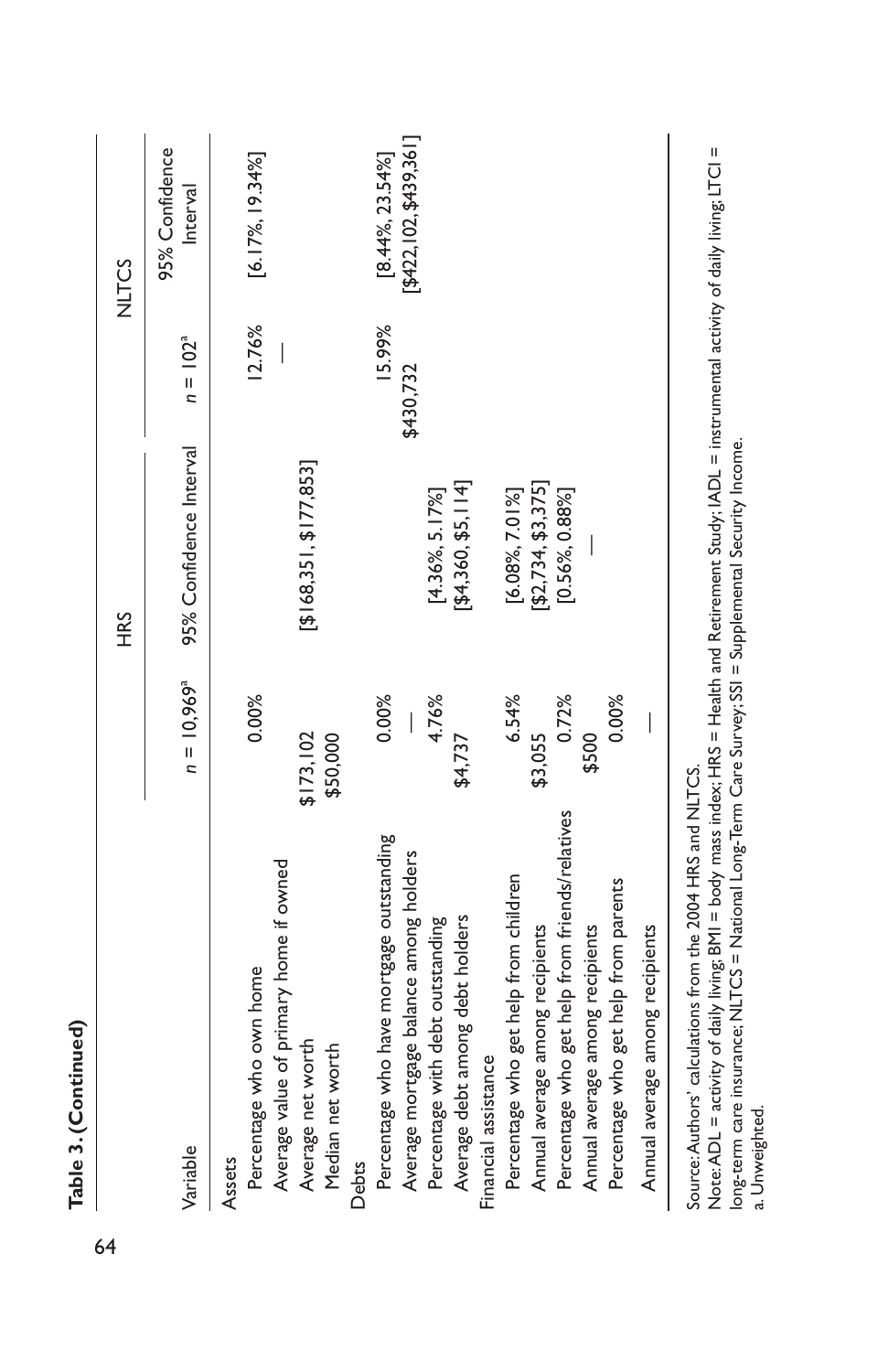|                                                                                                                                                                                                                                                                                                                                                                                                                               |                                                                                                           | HRS                                                                                                        |                     | <b>NLTCS</b>                                    |
|-------------------------------------------------------------------------------------------------------------------------------------------------------------------------------------------------------------------------------------------------------------------------------------------------------------------------------------------------------------------------------------------------------------------------------|-----------------------------------------------------------------------------------------------------------|------------------------------------------------------------------------------------------------------------|---------------------|-------------------------------------------------|
| Variable                                                                                                                                                                                                                                                                                                                                                                                                                      | $n = 10,969^{a}$                                                                                          | 95% Confidence Interval                                                                                    | $n = 102^{a}$       | 95% Confidence<br>Interval                      |
| Percentage who own home<br>Assets                                                                                                                                                                                                                                                                                                                                                                                             | 0.00%                                                                                                     |                                                                                                            | 12.76%              | $[6.17\%, 19.34\%]$                             |
| Average value of primary home if owned<br>Average net worth<br>Median net worth<br>Debts                                                                                                                                                                                                                                                                                                                                      | \$173,102<br>\$50,000                                                                                     | [\$168,351, \$177,853]                                                                                     |                     |                                                 |
| Percentage who get help from friends/relatives<br>Percentage who have mortgage outstanding<br>Average mortgage balance among holders<br>Percentage who get help from children<br>Percentage who get help from parents<br>Average debt among debt holders<br>Percentage with debt outstanding<br>Annual average among recipients<br>Annual average among recipients<br>Annual average among recipients<br>Financial assistance | 6.54%<br>0.00%<br>4.76%<br>0.72%<br>0.00%<br>$\overline{\phantom{a}}$<br>I<br>\$3,055<br>\$500<br>\$4,737 | [\$4,360, \$5,114]<br>[\$2,734, \$3,375]<br>$[0.56\%, 0.88\%]$<br>$[6.08\%, 7.01\%]$<br>$[4.36\%, 5.17\%]$ | 15.99%<br>\$430,732 | [\$422, 102, \$439, 361]<br>$[8.44\%, 23.54\%]$ |

Source: Authors' calculations from the 2004 HRS and NLTCS.

Source:Authors' calculations from the 2004 HRS and NLTCS.<br>Note:ADL = activity of daily living: BMI = body mass index: HRS = Health and Retirement Study; IADL = instrumental activity of daily living: LTCI = Note: ADL = activity of daily living; BMI = body mass index; HRS = Health and Retirement Study; IADL = instrumental activity of daily living; LTCI = long-term care insurance; NLTCS = National Long-Term Care Survey; SSI = Supplemental Security Income. long-term care insurance; NLTCS = National Long-Term Care Survey; SSI = Supplemental Security Income. a. Unweighted. a. Unweighted.

64

**Table 3. (Continued)**

Table 3. (Continued)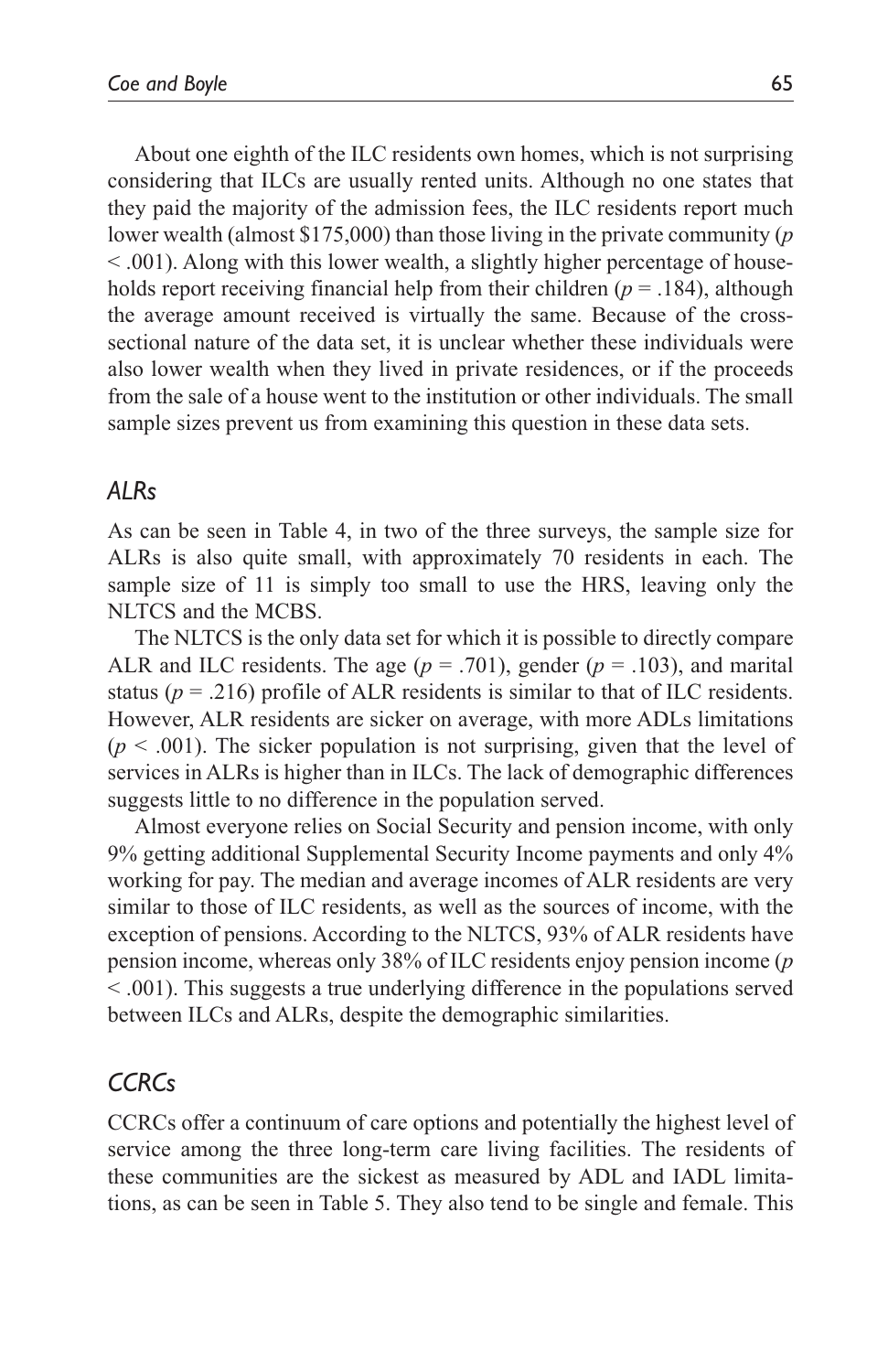About one eighth of the ILC residents own homes, which is not surprising considering that ILCs are usually rented units. Although no one states that they paid the majority of the admission fees, the ILC residents report much lower wealth (almost \$175,000) than those living in the private community (*p* < .001). Along with this lower wealth, a slightly higher percentage of households report receiving financial help from their children ( $p = .184$ ), although the average amount received is virtually the same. Because of the crosssectional nature of the data set, it is unclear whether these individuals were also lower wealth when they lived in private residences, or if the proceeds from the sale of a house went to the institution or other individuals. The small sample sizes prevent us from examining this question in these data sets.

### *ALRs*

As can be seen in Table 4, in two of the three surveys, the sample size for ALRs is also quite small, with approximately 70 residents in each. The sample size of 11 is simply too small to use the HRS, leaving only the NLTCS and the MCBS.

The NLTCS is the only data set for which it is possible to directly compare ALR and ILC residents. The age ( $p = .701$ ), gender ( $p = .103$ ), and marital status ( $p = .216$ ) profile of ALR residents is similar to that of ILC residents. However, ALR residents are sicker on average, with more ADLs limitations  $(p \le 0.001)$ . The sicker population is not surprising, given that the level of services in ALRs is higher than in ILCs. The lack of demographic differences suggests little to no difference in the population served.

Almost everyone relies on Social Security and pension income, with only 9% getting additional Supplemental Security Income payments and only 4% working for pay. The median and average incomes of ALR residents are very similar to those of ILC residents, as well as the sources of income, with the exception of pensions. According to the NLTCS, 93% of ALR residents have pension income, whereas only 38% of ILC residents enjoy pension income (*p* < .001). This suggests a true underlying difference in the populations served between ILCs and ALRs, despite the demographic similarities.

## *CCRCs*

CCRCs offer a continuum of care options and potentially the highest level of service among the three long-term care living facilities. The residents of these communities are the sickest as measured by ADL and IADL limitations, as can be seen in Table 5. They also tend to be single and female. This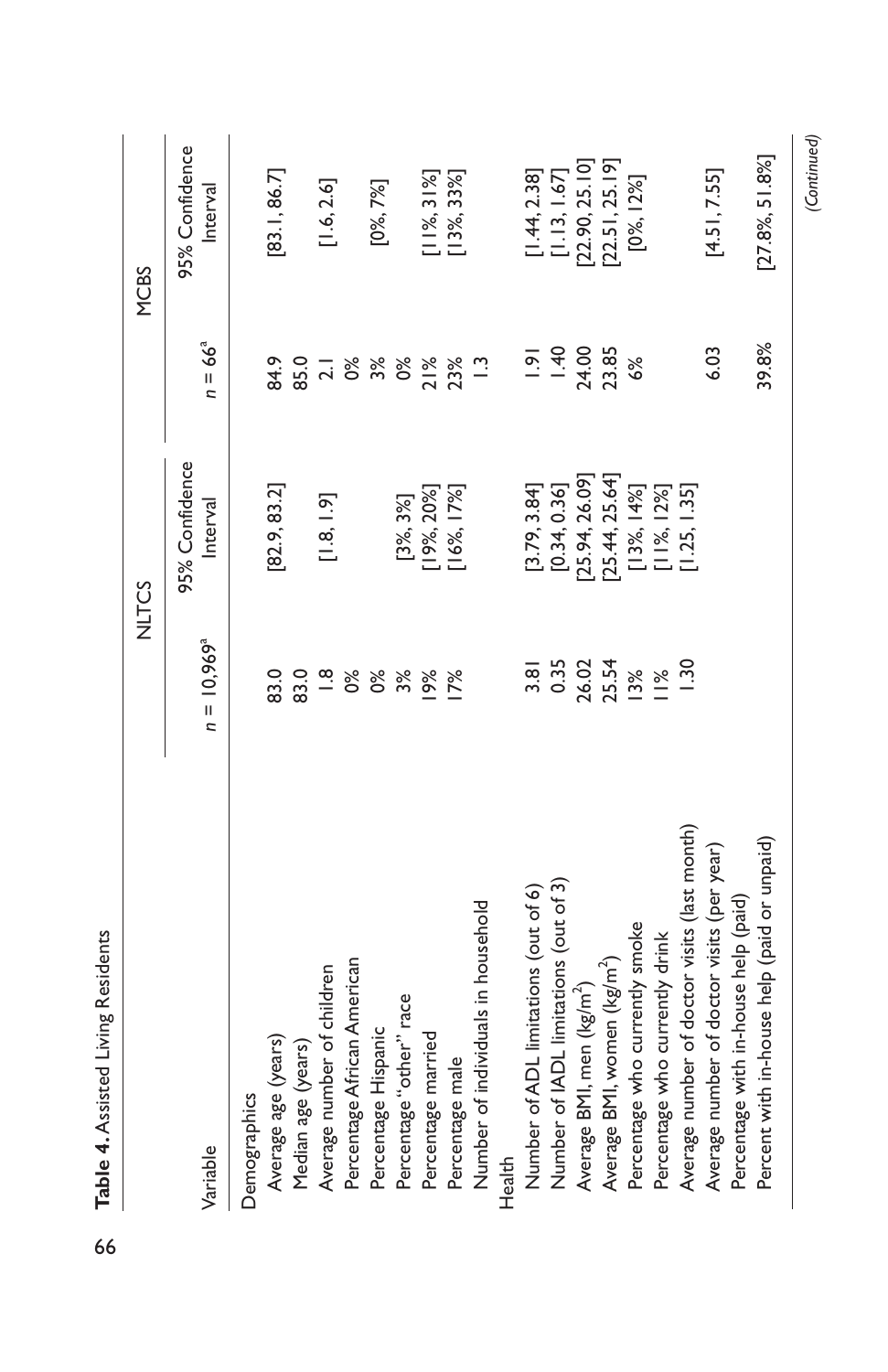|                                              |                        | NLTCS                      |                         | <b>MCBS</b>                |
|----------------------------------------------|------------------------|----------------------------|-------------------------|----------------------------|
| Variable                                     | $n = 10,969^{\circ}$   | 95% Confidence<br>Interval | $n = 66^{a}$            | 95% Confidence<br>Interval |
| Demographics                                 |                        |                            |                         |                            |
| Average age (years)                          | 83.0                   | [82.9, 83.2]               | 84.9                    | [83.1, 86.7]               |
| Median age (years)                           | 83.0                   |                            | 85.0                    |                            |
| Average number of children                   | $\frac{\infty}{\cdot}$ | [1.8, 1.9]                 | $\overline{N}$          | [1.6, 2.6]                 |
| Percentage African American                  | $\delta$               |                            |                         |                            |
| Percentage Hispanic                          | $\delta$               |                            | 8 % 8                   | $[0\%, 7\%]$               |
| Percentage "other" race                      | 3%                     | [3%, 3%]                   |                         |                            |
| Percentage married                           | 9%                     | [19%, 20%]                 |                         | $11\%, 31\%$               |
| Percentage male                              | 7%                     | $[16\%, 17\%]$             | $\frac{218}{23}$<br>23% | [13%, 33%]                 |
| Number of individuals in household           |                        |                            |                         |                            |
| Health                                       |                        |                            |                         |                            |
| Number of ADL limitations (out of 6)         | 3.81                   | [3.79, 3.84]               | $\overline{5}$          | [1.44, 2.38]               |
| Number of IADL limitations (out of 3)        | 0.35                   | [0.34, 0.36]               | $-1.40$                 | [1.13, 1.67]               |
| Average BMI, men (kg/m <sup>2</sup> )        | 26.02<br>25.54         | [25.94, 26.09]             | 24.00<br>23.85          | [22.90, 25.10]             |
| Average BMI, women (kg/m <sup>2</sup> )      |                        | 25.44, 25.64]              |                         | [22.51, 25.19]             |
| Percentage who currently smoke               | 13%                    | [13%, 14%]                 | 6%                      | $[0\%, 12\%]$              |
| Percentage who currently drink               | $\frac{8}{1}$          | $[11\%, 12\%]$             |                         |                            |
| Average number of doctor visits (last month) | $\frac{0}{2}$          | [1.25, 1.35]               |                         |                            |
| Average number of doctor visits (per year)   |                        |                            | 6.03                    | [4.51, 7.55]               |
| Percentage with in-house help (paid)         |                        |                            |                         |                            |
| Percent with in-house help (paid or unpaid)  |                        |                            | 39.8%                   | $[27.8\%, 51.8\%]$         |

S Table 4. Assisted Living Residents

*(Continued)*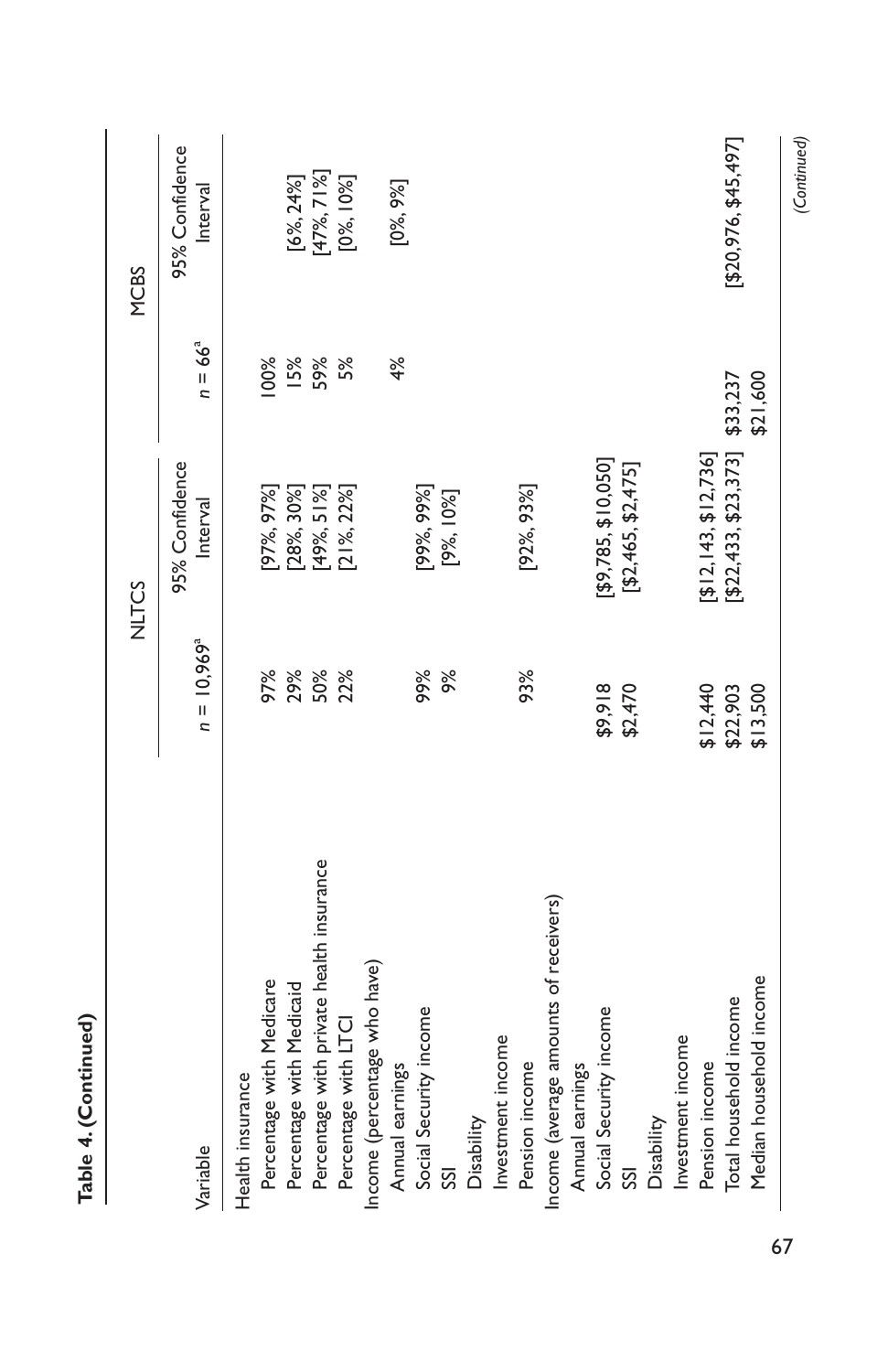|                                          |                   | NLTCS                                  |              | <b>MCBS</b>                                      |
|------------------------------------------|-------------------|----------------------------------------|--------------|--------------------------------------------------|
| Variable                                 | $n = 10,969^a$    | 95% Confidence<br>Interval             | $n = 66^{a}$ | 95% Confidence<br>Interval                       |
| Health insurance                         |                   |                                        |              |                                                  |
| Percentage with Medicare                 | 97%               | [97%, 97%]                             | 100%         |                                                  |
| Percentage with Medicaid                 |                   |                                        | 15%          |                                                  |
| Percentage with private health insurance | 29%<br>50%<br>22% |                                        | 59%          |                                                  |
| Percentage with LTCI                     |                   | [28%, 30%]<br>[49%, 51%]<br>[21%, 22%] | 5%           | $[6\%, 24\%]$<br>$[47\%, 71\%]$<br>$[0\%, 10\%]$ |
| Income (percentage who have)             |                   |                                        |              |                                                  |
| Annual earnings                          |                   |                                        | 4%           | [0%, 9%]                                         |
| Social Security income                   | 99%               | [99%, 99%]                             |              |                                                  |
| SS                                       | 9%                | $[9\%, 10\%]$                          |              |                                                  |
| Disability                               |                   |                                        |              |                                                  |
| Investment income                        |                   |                                        |              |                                                  |
| Pension income                           | 93%               | [92%, 93%]                             |              |                                                  |
| Income (average amounts of receivers)    |                   |                                        |              |                                                  |
| Annual earnings                          |                   |                                        |              |                                                  |
| Social Security income                   | \$9,918           | [\$9,785, \$10,050]                    |              |                                                  |
| SSI                                      | \$2,470           | [\$2,465, \$2,475]                     |              |                                                  |
| Disability                               |                   |                                        |              |                                                  |
| Investment income                        |                   |                                        |              |                                                  |
| Pension income                           | \$12,440          | [\$12,143, \$12,736]                   |              |                                                  |
| Total household income                   | \$22,903          | [\$22,433, \$23,373]                   | \$33,237     | [\$20,976, \$45,497]                             |
| Median household income                  | \$13,500          |                                        | \$21,600     |                                                  |
|                                          |                   |                                        |              | (Continued)                                      |

**Table 4. (Continued)**

Table 4. (Continued)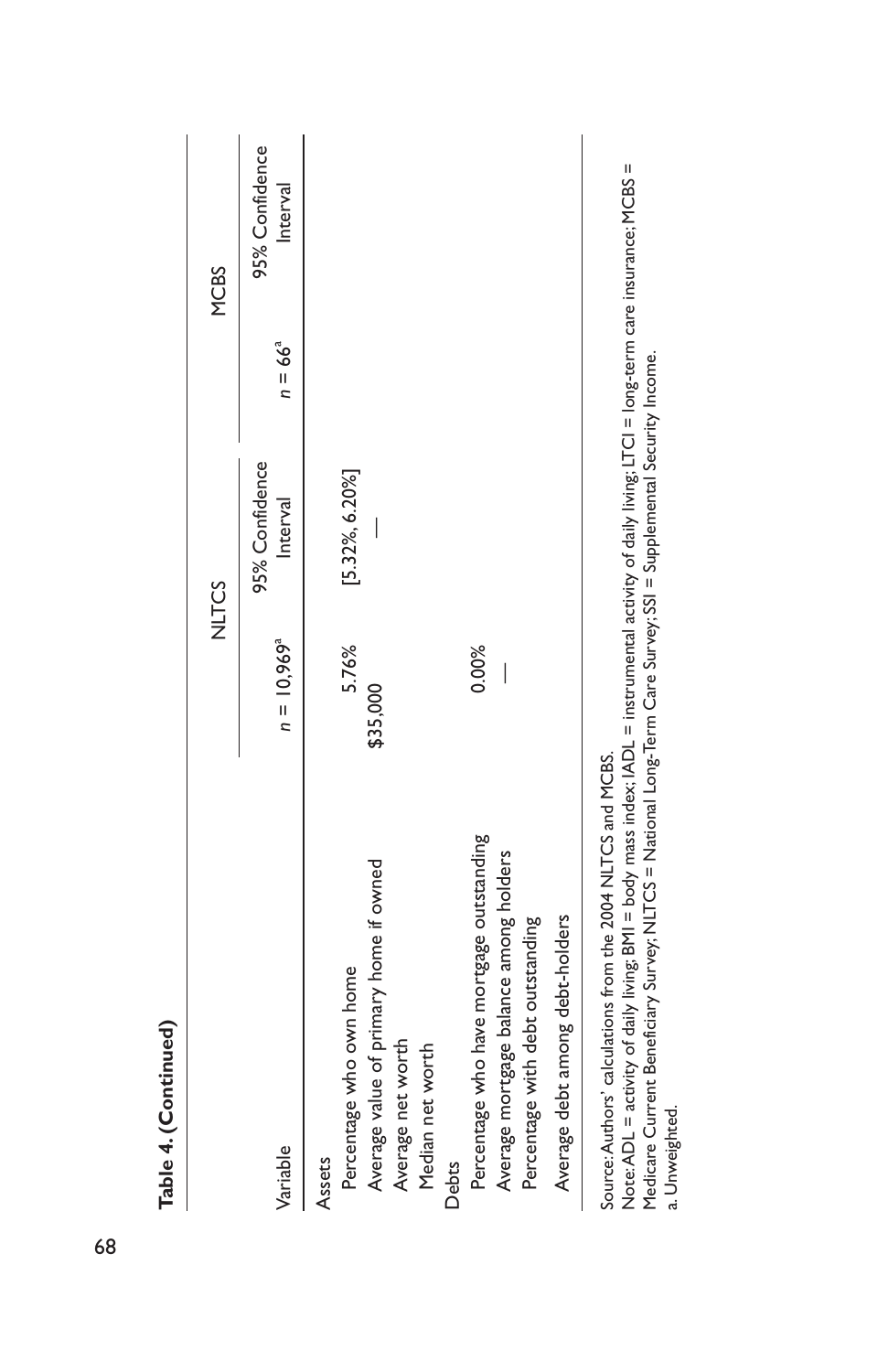|                                                                            |                          | NLTCS                      |              | <b>MCBS</b>                |
|----------------------------------------------------------------------------|--------------------------|----------------------------|--------------|----------------------------|
| Variable                                                                   | $n = 10,969^{a}$         | 95% Confidence<br>Interval | $n = 66^{a}$ | 95% Confidence<br>Interval |
| Assets                                                                     |                          |                            |              |                            |
| Average value of primary home if owned<br>Percentage who own home          | 5.76%<br>\$35,000        | [5.32%, 6.20%]<br>I        |              |                            |
| Average net worth<br>Median net worth                                      |                          |                            |              |                            |
| Debts                                                                      |                          |                            |              |                            |
| Percentage who have mortgage outstanding                                   | 0.00%                    |                            |              |                            |
| Average mortgage balance among holders<br>Percentage with debt outstanding | $\overline{\phantom{a}}$ |                            |              |                            |
| Average debt among debt-holders                                            |                          |                            |              |                            |
| Source: Authors' calculations from the 2004 NLTCS and MCBS.                |                          |                            |              |                            |

Table 4. (Continued) **Table 4. (Continued)**

Note:ADL = activity of daily living; BMI = body mass index;IADL = instrumental activity of daily living; LTCI = long-term care insurance; MCBS =<br>Medicare Current Beneficiary Survey; NLTCS = National Long-Term Care Survey; Note: ADL = activity of daily living; BMI = body mass index; IADL = instrumental activity of daily living; LTCI = long-term care insurance; MCBS = Medicare Current Beneficiary Survey; NLTCS = National Long-Term Care Survey; SSI = Supplemental Security Income. a. Unweighted. a. Unweighted.

68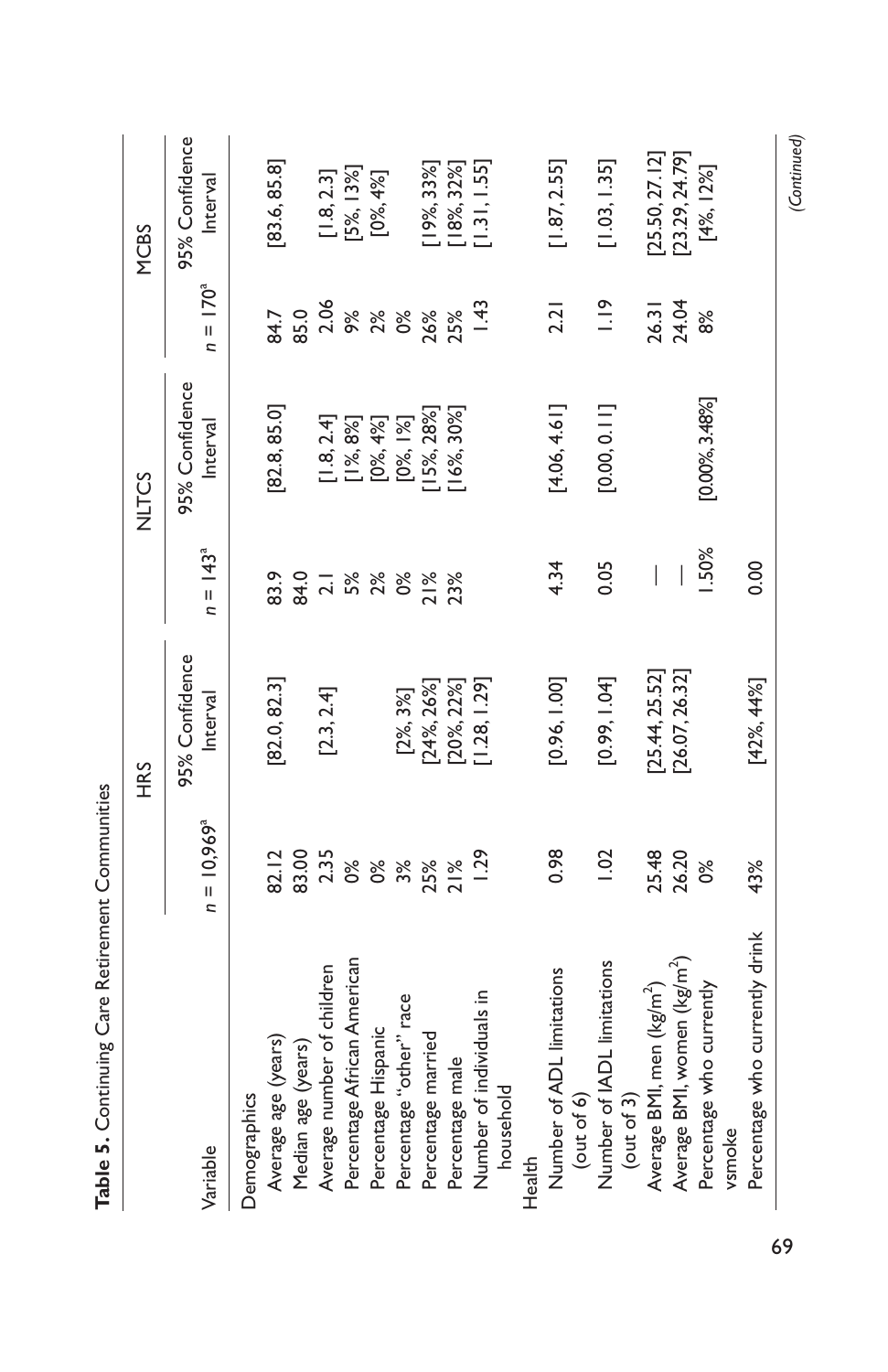| ć                                       |                  |                            |                          |                            |                |                            |
|-----------------------------------------|------------------|----------------------------|--------------------------|----------------------------|----------------|----------------------------|
|                                         |                  | HRS                        |                          | CS<br>NLTCS                |                | <b>MCBS</b>                |
| Variable                                | $n = 10,969^a$   | 95% Confidence<br>Interval | $n = 143^a$              | 95% Confidence<br>Interval | $n = 170^{a}$  | 95% Confidence<br>Interval |
| Demographics                            |                  |                            |                          |                            |                |                            |
| Average age (years)                     | 82.12            | [82.0, 82.3]               | 83.9                     | [82.8, 85.0]               | 84.7           | [83.6, 85.8]               |
| Median age (years)                      | 83.00            |                            | 84.0                     |                            | 85.0           |                            |
| Average number of children              | 2.35             | [2.3, 2.4]                 | $\overline{2}$           | [1.8, 2.4]                 | 2.06           | [1.8, 2.3]                 |
| Percentage African American             | $\%$             |                            | 5%                       | $[1\%, 8\%]$               |                | [5%, 13%]                  |
| Percentage Hispanic                     | 0%               |                            | 2%                       | [0%, 4%]                   | <b>% ಸೆ ಕೆ</b> | [0%, 4%]                   |
| Percentage "other" race                 | 3%               | $[2\%, 3\%]$               | $\delta$                 | [0%, 1%]                   |                |                            |
| Percentage married                      | 25%              | 24%, 26%                   | 21%                      | 15%, 28%                   | 26%            | 19%, 33%                   |
| Percentage male                         | 21%              | 20%, 22%]                  | 23%                      | $16\%, 30\%$               | 25%            | 18%, 32%]                  |
| Number of individuals in                | $\overline{051}$ | 1.28, 1.29                 |                          |                            | $\frac{43}{2}$ | 1.31, 1.55                 |
| household                               |                  |                            |                          |                            |                |                            |
| Health                                  |                  |                            |                          |                            |                |                            |
| Number of ADL limitations               | 0.98             | [0.96, 1.00]               | 4.34                     | [4.06, 4.6]                | 2.21           | [1.87, 2.55]               |
| $($ out of $6)$                         |                  |                            |                          |                            |                |                            |
| Number of IADL limitations              | 1.02             | [0.99, 1.04]               | 0.05                     | [0.00, 0.11]               | $\frac{9}{1}$  | [1.03, 1.35]               |
| $($ out of 3 $)$                        |                  |                            |                          |                            |                |                            |
| Average BMI, men (kg/m <sup>2</sup> )   | 25.48            | 25.44, 25.52]              | $\overline{\phantom{a}}$ |                            | 26.31          | [25.50, 27.12]             |
| Average BMI, women (kg/m <sup>2</sup> ) | 26.20            | 26.07, 26.32]              |                          |                            | 24.04          | [23.29, 24.79]             |
| Percentage who currently                | o%               |                            | 1.50%                    | $[0.00\%, 3.48\%]$         | 8%             | $[4\%, 12\%]$              |
| vsmoke                                  |                  |                            |                          |                            |                |                            |
| Percentage who currently drink          | 43%              | [42%, 44%]                 | 0.00                     |                            |                |                            |

*(Continued)*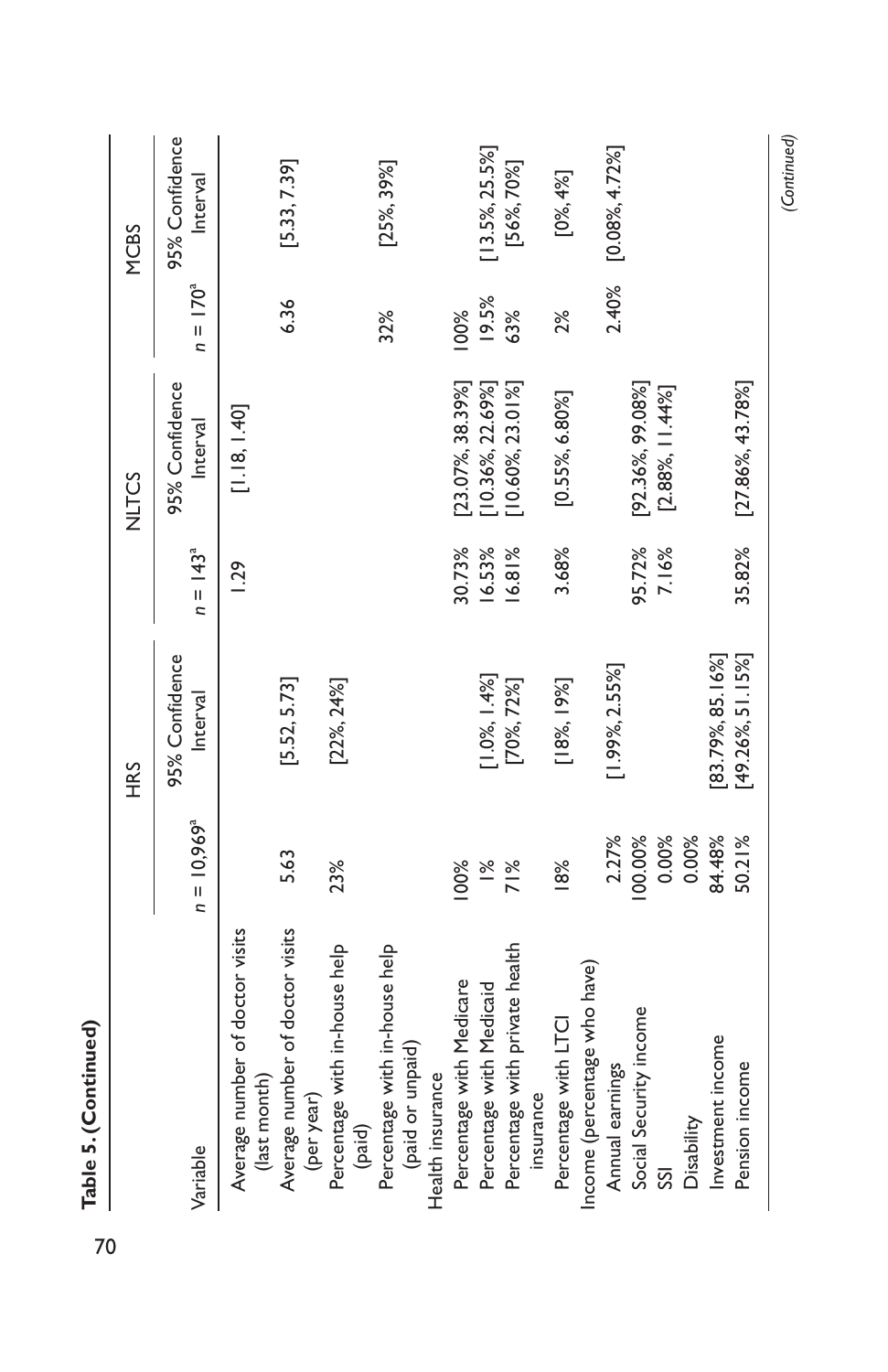| 70                                                |                      | HRS                        |                | NLTCS                      |               | <b>MCBS</b>                       |
|---------------------------------------------------|----------------------|----------------------------|----------------|----------------------------|---------------|-----------------------------------|
| Variable                                          | $n = 10,969^{\circ}$ | 95% Confidence<br>Interval | $n = 143^{a}$  | 95% Confidence<br>Interval | $n = 170^{a}$ | 95% Confidence<br><b>Interval</b> |
| Average number of doctor visits<br>(last month)   |                      |                            | $\frac{29}{2}$ | [1.18, 1.40]               |               |                                   |
| Average number of doctor visits<br>(per year)     | 5.63                 | [5.52, 5.73]               |                |                            | 6.36          | [5.33, 7.39]                      |
| Percentage with in-house help<br>(paid)           | 23%                  | $[22\%, 24\%]$             |                |                            |               |                                   |
| Percentage with in-house help<br>(paid or unpaid) |                      |                            |                |                            | 32%           | [25%, 39%]                        |
| Health insurance                                  |                      |                            |                |                            |               |                                   |
| Percentage with Medicare                          | 100%                 |                            | 30.73%         | [23.07%, 38.39%]           | 100%          |                                   |
| Percentage with Medicaid                          | $\frac{8}{3}$        | $[1.0\%, 1.4\%]$           | 16.53%         | 10.36%, 22.69%]            | 19.5%         | $[13.5\%, 25.5\%]$                |
| Percentage with private health                    | 71%                  | [70%, 72%]                 | 16.81%         | $[10.60\%, 23.01\%]$       | 63%           | [56%, 70%]                        |
| Percentage with LTCI<br>insurance                 | $\frac{8}{8}$        | [18%, 19%]                 | 3.68%          | $[0.55\%, 6.80\%]$         | $2\%$         | $[0\%, 4\%]$                      |
| Income (percentage who have)                      |                      |                            |                |                            |               |                                   |
| Annual earnings                                   | 2.27%                | $[1.99\%, 2.55\%]$         |                |                            | 2.40%         | $[0.08\%, 4.72\%]$                |
| Social Security income                            | 100.00%              |                            | 95.72%         | 92.36%, 99.08%]            |               |                                   |
| SSI                                               | 0.00%<br>0.00%       |                            | 7.16%          | $[2.88\%, 11.44\%]$        |               |                                   |
| Investment income<br>Disability                   | 84.48%               | 83.79%, 85.16%]            |                |                            |               |                                   |
|                                                   |                      |                            |                |                            |               |                                   |
| Pension income                                    | 50.21%               | $[49.26\%, 51.15\%]$       | 35.82%         | $[27.86\%, 43.78\%]$       |               |                                   |

*(Continued)*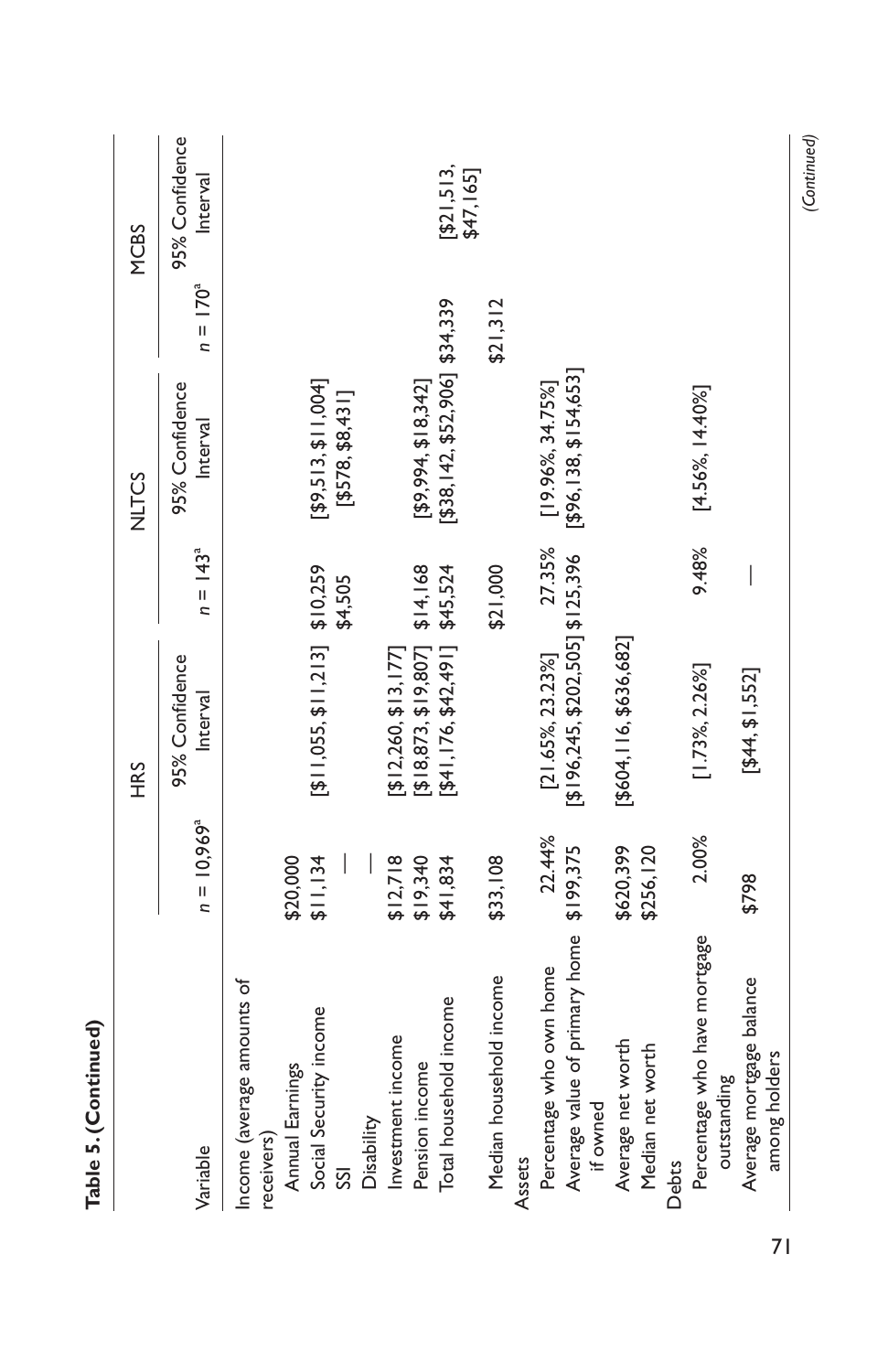| Table 5. (Continued)                                                                  |                                  |                                                                                  |            |                                                         |               |                            |
|---------------------------------------------------------------------------------------|----------------------------------|----------------------------------------------------------------------------------|------------|---------------------------------------------------------|---------------|----------------------------|
|                                                                                       |                                  | <b>HRS</b>                                                                       |            | NLTCS                                                   |               | <b>MCBS</b>                |
| Variable                                                                              | $n = 10,969^{\circ}$             | 95% Confidence<br>Interval                                                       | $n = 143a$ | 95% Confidence<br>Interval                              | $n = 170^{a}$ | 95% Confidence<br>Interval |
| Income (average amounts of<br>Social Security income<br>Annual Earnings<br>receivers) | \$11,134<br>\$20,000             | $[$11,055, $11,213]$ \$10,259                                                    |            | [\$9,513, \$11,004]                                     |               |                            |
| Disability<br>SSI                                                                     |                                  |                                                                                  | \$4,505    | [4578, 431]                                             |               |                            |
| Total household income<br>Investment income<br>Pension income                         | \$19,340<br>\$41,834<br>\$12,718 | $[4.18, 873, 419, 807]$ \$14,168<br>[\$41,176, \$42,491]<br>[\$12,260, \$13,177] | \$45,524   | [\$38, 142, \$52, 906] \$34, 339<br>[\$9,994, \$18,342] |               | [\$21,513,                 |
| Median household income                                                               | \$33,108                         |                                                                                  | \$21,000   |                                                         | \$21,312      | \$47,165]                  |
| Assets                                                                                |                                  |                                                                                  |            |                                                         |               |                            |
| Average value of primary home<br>Percentage who own home<br>if owned                  | 22.44%<br>\$199,375              | [\$196,245, \$202,505] \$125,396<br>[21.65%, 23.23%]                             | 27.35%     | [\$96,138, \$154,653]<br>$[19.96\%, 34.75\%]$           |               |                            |
| Average net worth<br>Median net worth                                                 | \$620,399<br>\$256,120           | [\$604,   16, \$636,682]                                                         |            |                                                         |               |                            |
| Percentage who have mortgage<br>outstanding<br>Debts                                  | 2.00%                            | $[1.73\%, 2.26\%]$                                                               | 9.48%      | $[4.56\%, 14.40\%]$                                     |               |                            |
| Average mortgage balance<br>among holders                                             | \$798                            | [\$44, \$1,552]                                                                  |            |                                                         |               |                            |
|                                                                                       |                                  |                                                                                  |            |                                                         |               | (Continued)                |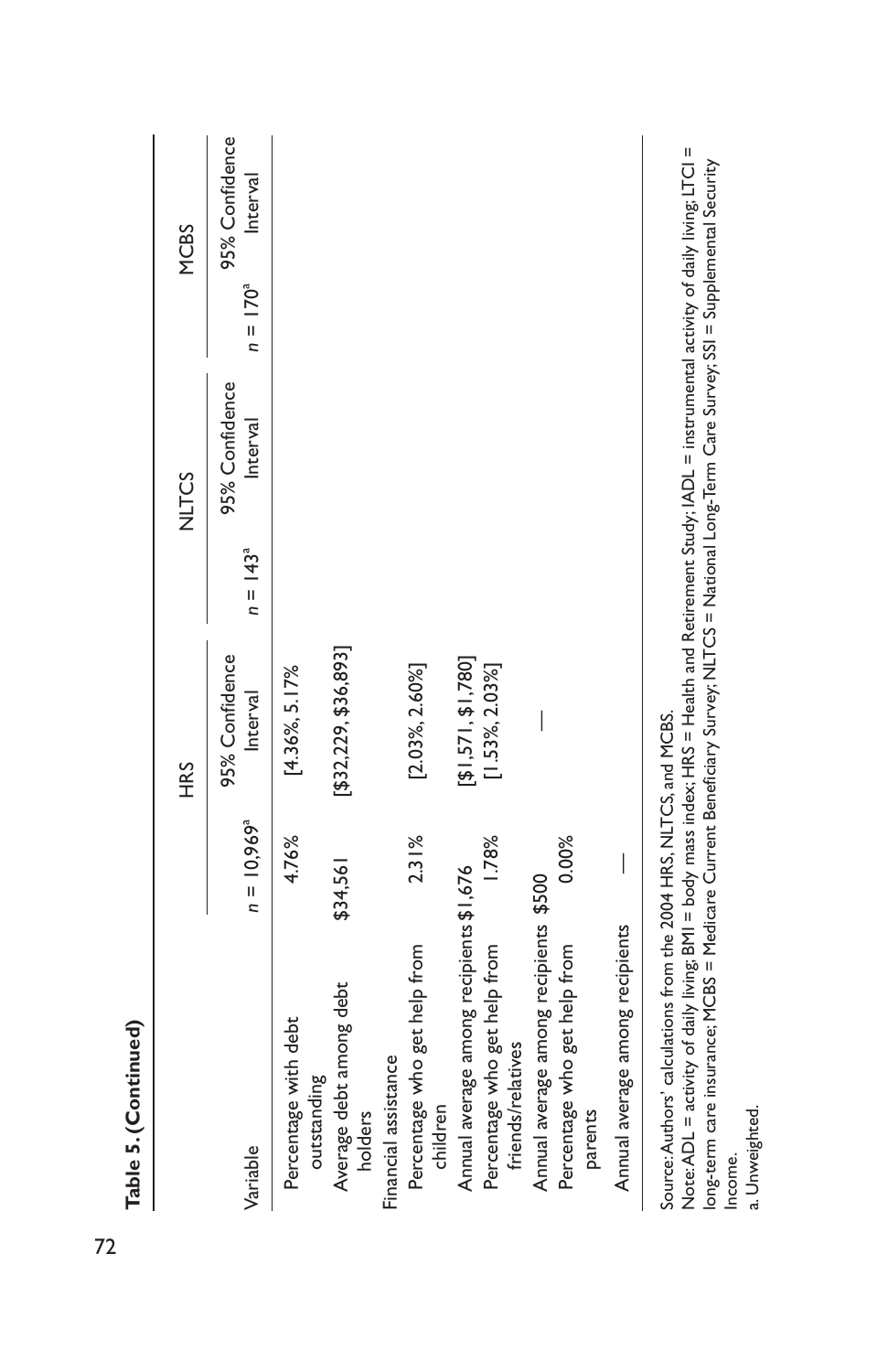|                                                   |                  | <b>HRS</b>                 |               | NLTCS                      |               | <b>MCBS</b>                |
|---------------------------------------------------|------------------|----------------------------|---------------|----------------------------|---------------|----------------------------|
| Variable                                          | $n = 10,969^{a}$ | 95% Confidence<br>Interval | $n = 143^{a}$ | 95% Confidence<br>Interval | $n = 170^{a}$ | 95% Confidence<br>Interval |
| Percentage with debt<br>outstanding               | 4.76%            | $[4.36\%, 5.17\%$          |               |                            |               |                            |
| Average debt among debt<br>holders                | \$34,561         | [\$32,229, \$36,893]       |               |                            |               |                            |
| Financial assistance                              |                  |                            |               |                            |               |                            |
| Percentage who get help from<br>children          | 2.31%            | $[2.03\%, 2.60\%]$         |               |                            |               |                            |
| Annual average among recipients \$1,676           |                  | [\$1,571, \$1,780]         |               |                            |               |                            |
| Percentage who get help from<br>friends/relatives | 1.78%            | $[1.53\%, 2.03\%]$         |               |                            |               |                            |
| Annual average among recipients \$500             |                  | I                          |               |                            |               |                            |
| Percentage who get help from<br>parents           | 0.00%            |                            |               |                            |               |                            |
| Annual average among recipients                   |                  |                            |               |                            |               |                            |
|                                                   |                  |                            |               |                            |               |                            |

Source: Authors' calculations from the 2004 HRS, NLTCS, and MCBS. Source: Authors' calculations from the 2004 HRS, NLTCS, and MCBS.

Note:ADL = activity of daily living; BMI = body mass index; HRS = Health and Retirement Study; IADL = instrumental activity of daily living; LTCI =<br>Iong-term care insurance: MCBS = Medicare Current Beneficiary Survey; NLTC Note: ADL = activity of daily living; BMI = body mass index; HRS = Health and Retirement Study; IADL = instrumental activity of daily living; LTCI = long-term care insurance; MCBS = Medicare Current Beneficiary Survey; NLTCS = National Long-Term Care Survey; SSI = Supplemental Security Income.

a. Unweighted. a. Unweighted.

**Table 5. (Continued)**

Table 5. (Continued)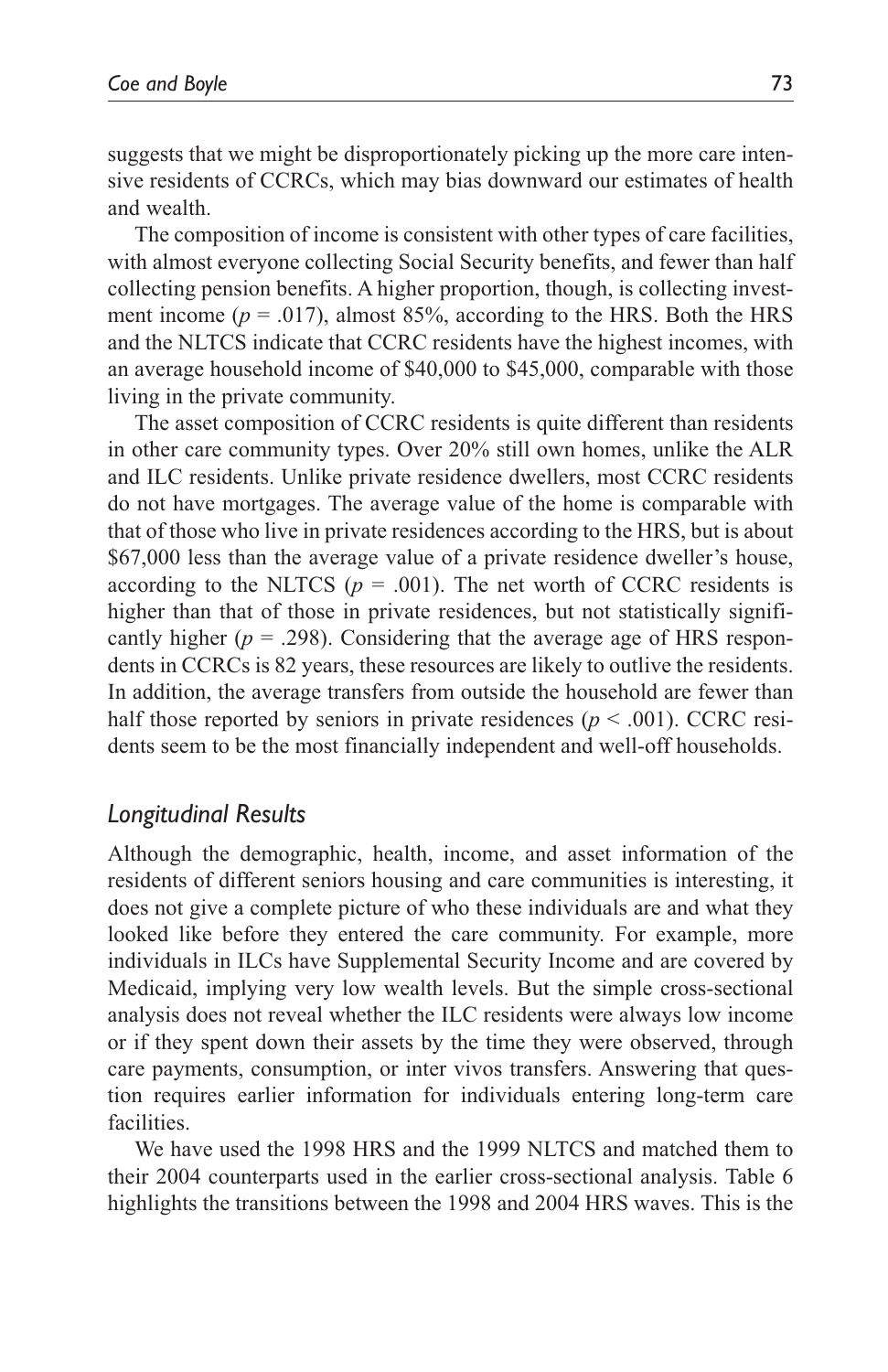suggests that we might be disproportionately picking up the more care intensive residents of CCRCs, which may bias downward our estimates of health and wealth.

The composition of income is consistent with other types of care facilities, with almost everyone collecting Social Security benefits, and fewer than half collecting pension benefits. A higher proportion, though, is collecting investment income ( $p = .017$ ), almost 85%, according to the HRS. Both the HRS and the NLTCS indicate that CCRC residents have the highest incomes, with an average household income of \$40,000 to \$45,000, comparable with those living in the private community.

The asset composition of CCRC residents is quite different than residents in other care community types. Over 20% still own homes, unlike the ALR and ILC residents. Unlike private residence dwellers, most CCRC residents do not have mortgages. The average value of the home is comparable with that of those who live in private residences according to the HRS, but is about \$67,000 less than the average value of a private residence dweller's house, according to the NLTCS ( $p = .001$ ). The net worth of CCRC residents is higher than that of those in private residences, but not statistically significantly higher ( $p = .298$ ). Considering that the average age of HRS respondents in CCRCs is 82 years, these resources are likely to outlive the residents. In addition, the average transfers from outside the household are fewer than half those reported by seniors in private residences ( $p < .001$ ). CCRC residents seem to be the most financially independent and well-off households.

### *Longitudinal Results*

Although the demographic, health, income, and asset information of the residents of different seniors housing and care communities is interesting, it does not give a complete picture of who these individuals are and what they looked like before they entered the care community. For example, more individuals in ILCs have Supplemental Security Income and are covered by Medicaid, implying very low wealth levels. But the simple cross-sectional analysis does not reveal whether the ILC residents were always low income or if they spent down their assets by the time they were observed, through care payments, consumption, or inter vivos transfers. Answering that question requires earlier information for individuals entering long-term care facilities.

We have used the 1998 HRS and the 1999 NLTCS and matched them to their 2004 counterparts used in the earlier cross-sectional analysis. Table 6 highlights the transitions between the 1998 and 2004 HRS waves. This is the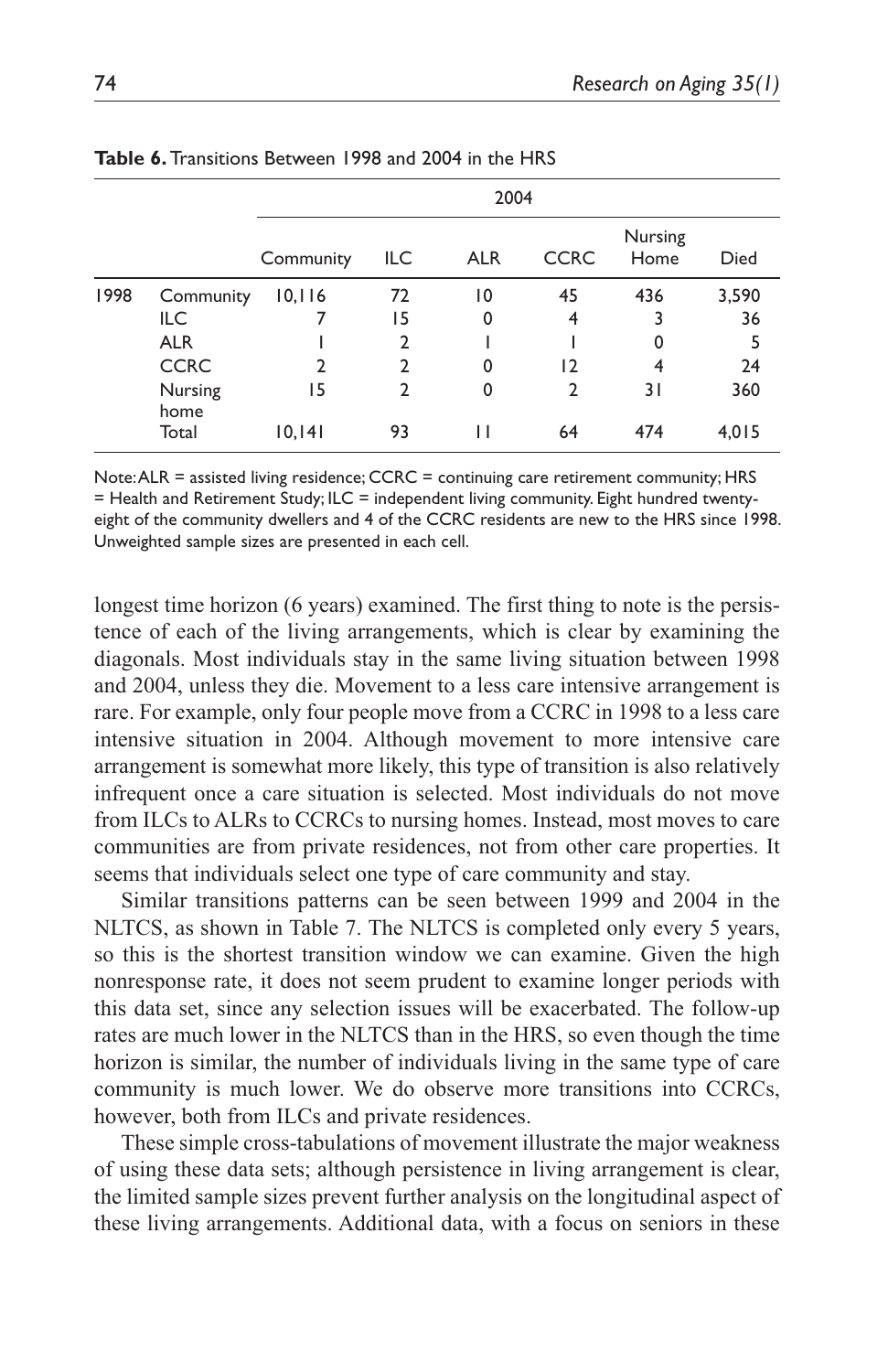|      |                        |                |                | 2004       |              |                        |       |
|------|------------------------|----------------|----------------|------------|--------------|------------------------|-------|
|      |                        | Community      | ILC            | <b>ALR</b> | <b>CCRC</b>  | <b>Nursing</b><br>Home | Died  |
| 1998 | Community              | 10,116         | 72             | 10         | 45           | 436                    | 3,590 |
|      | ILC.                   |                | 15             | 0          | 4            | 3                      | 36    |
|      | <b>ALR</b>             |                | 2              |            |              | 0                      | 5     |
|      | <b>CCRC</b>            | $\mathfrak{p}$ | $\overline{2}$ | $\Omega$   | 12           | 4                      | 24    |
|      | <b>Nursing</b><br>home | 15             | $\mathcal{P}$  | 0          | $\mathbf{2}$ | 31                     | 360   |
|      | Total                  | 10,141         | 93             | Н          | 64           | 474                    | 4,015 |

**Table 6.** Transitions Between 1998 and 2004 in the HRS

Note: ALR = assisted living residence; CCRC = continuing care retirement community; HRS = Health and Retirement Study; ILC = independent living community. Eight hundred twentyeight of the community dwellers and 4 of the CCRC residents are new to the HRS since 1998. Unweighted sample sizes are presented in each cell.

longest time horizon (6 years) examined. The first thing to note is the persistence of each of the living arrangements, which is clear by examining the diagonals. Most individuals stay in the same living situation between 1998 and 2004, unless they die. Movement to a less care intensive arrangement is rare. For example, only four people move from a CCRC in 1998 to a less care intensive situation in 2004. Although movement to more intensive care arrangement is somewhat more likely, this type of transition is also relatively infrequent once a care situation is selected. Most individuals do not move from ILCs to ALRs to CCRCs to nursing homes. Instead, most moves to care communities are from private residences, not from other care properties. It seems that individuals select one type of care community and stay.

Similar transitions patterns can be seen between 1999 and 2004 in the NLTCS, as shown in Table 7. The NLTCS is completed only every 5 years, so this is the shortest transition window we can examine. Given the high nonresponse rate, it does not seem prudent to examine longer periods with this data set, since any selection issues will be exacerbated. The follow-up rates are much lower in the NLTCS than in the HRS, so even though the time horizon is similar, the number of individuals living in the same type of care community is much lower. We do observe more transitions into CCRCs, however, both from ILCs and private residences.

These simple cross-tabulations of movement illustrate the major weakness of using these data sets; although persistence in living arrangement is clear, the limited sample sizes prevent further analysis on the longitudinal aspect of these living arrangements. Additional data, with a focus on seniors in these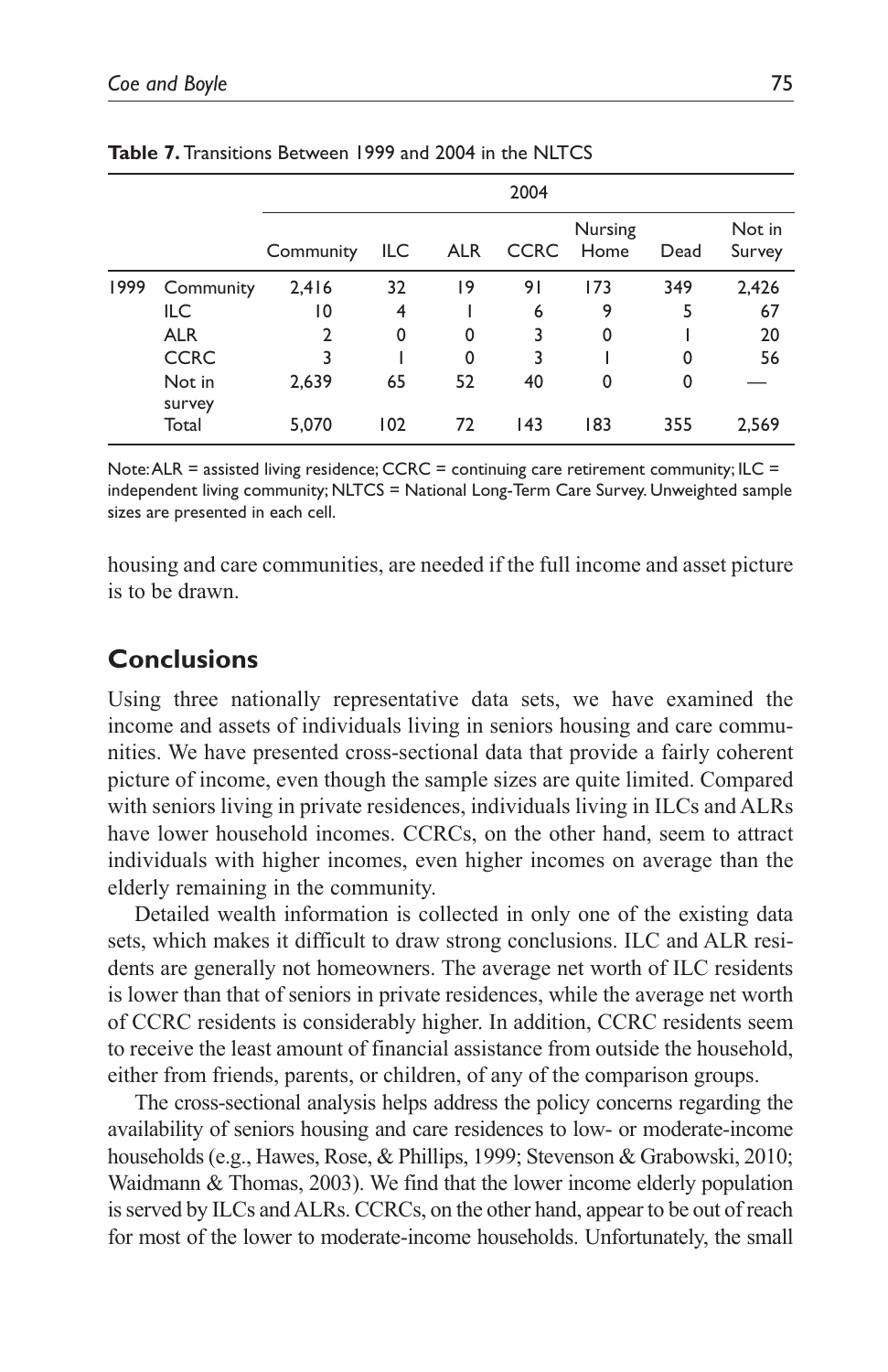|      |                  |              |      |            | 2004      |                |      |                  |
|------|------------------|--------------|------|------------|-----------|----------------|------|------------------|
|      |                  | Community    | ILC. | <b>ALR</b> | CCRC Home | <b>Nursing</b> | Dead | Not in<br>Survey |
| 1999 | Community        | 2,416        | 32   | 19         | 91        | 173            | 349  | 2,426            |
|      | ILC.             | 10           | 4    |            | 6         | 9              | 5    | 67               |
|      | <b>ALR</b>       | $\mathbf{2}$ | 0    | 0          | 3         | 0              |      | 20               |
|      | <b>CCRC</b>      | 3            |      | 0          | 3         |                | 0    | 56               |
|      | Not in<br>survey | 2,639        | 65   | 52         | 40        | 0              | 0    |                  |
|      | Total            | 5,070        | 102  | 72         | 43        | 183            | 355  | 2,569            |

**Table 7.** Transitions Between 1999 and 2004 in the NLTCS

Note: ALR = assisted living residence; CCRC = continuing care retirement community; ILC = independent living community; NLTCS = National Long-Term Care Survey. Unweighted sample sizes are presented in each cell.

housing and care communities, are needed if the full income and asset picture is to be drawn.

## **Conclusions**

Using three nationally representative data sets, we have examined the income and assets of individuals living in seniors housing and care communities. We have presented cross-sectional data that provide a fairly coherent picture of income, even though the sample sizes are quite limited. Compared with seniors living in private residences, individuals living in ILCs and ALRs have lower household incomes. CCRCs, on the other hand, seem to attract individuals with higher incomes, even higher incomes on average than the elderly remaining in the community.

Detailed wealth information is collected in only one of the existing data sets, which makes it difficult to draw strong conclusions. ILC and ALR residents are generally not homeowners. The average net worth of ILC residents is lower than that of seniors in private residences, while the average net worth of CCRC residents is considerably higher. In addition, CCRC residents seem to receive the least amount of financial assistance from outside the household, either from friends, parents, or children, of any of the comparison groups.

The cross-sectional analysis helps address the policy concerns regarding the availability of seniors housing and care residences to low- or moderate-income households (e.g., Hawes, Rose, & Phillips, 1999; Stevenson & Grabowski, 2010; Waidmann & Thomas, 2003). We find that the lower income elderly population is served by ILCs and ALRs. CCRCs, on the other hand, appear to be out of reach for most of the lower to moderate-income households. Unfortunately, the small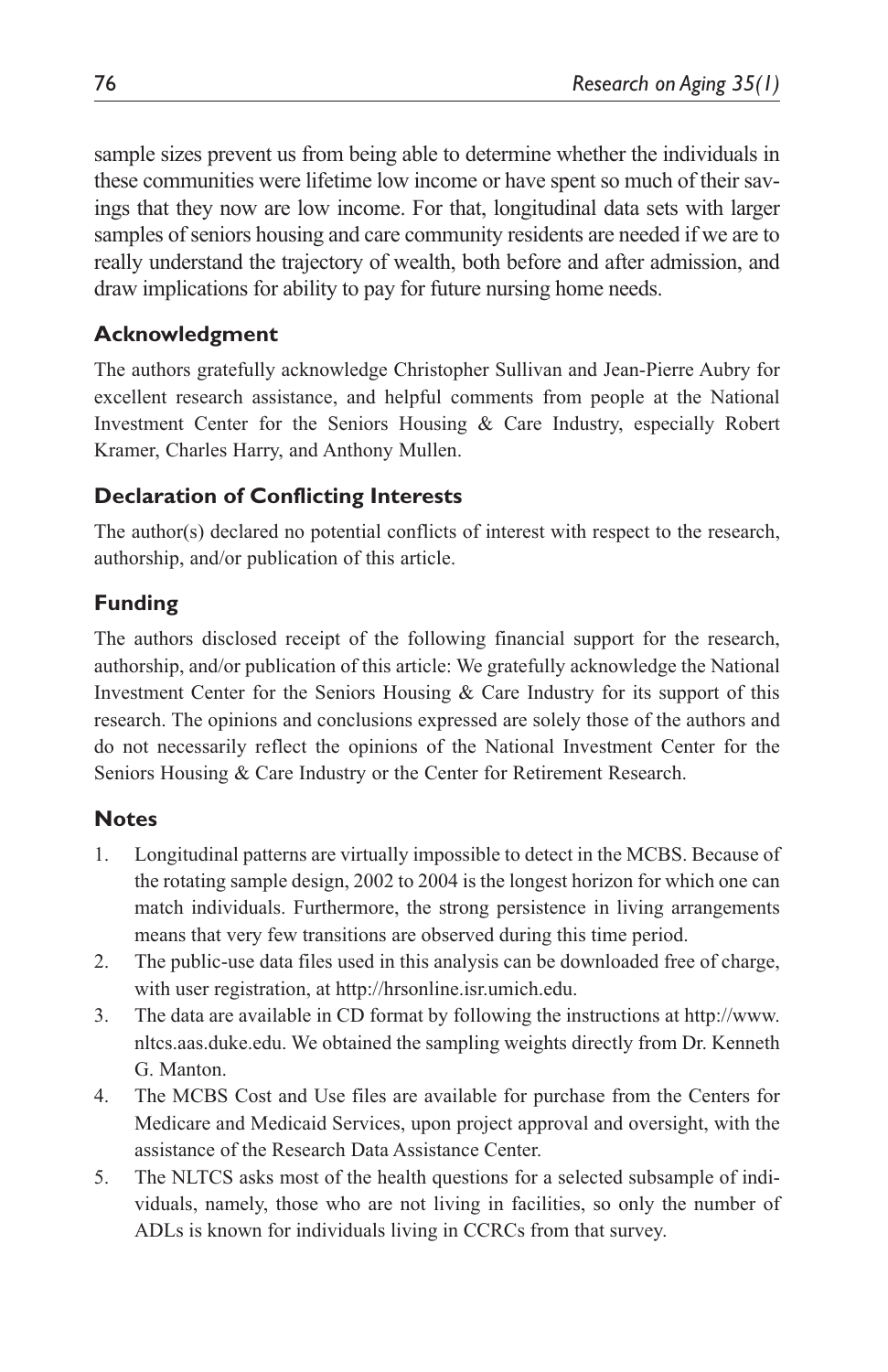sample sizes prevent us from being able to determine whether the individuals in these communities were lifetime low income or have spent so much of their savings that they now are low income. For that, longitudinal data sets with larger samples of seniors housing and care community residents are needed if we are to really understand the trajectory of wealth, both before and after admission, and draw implications for ability to pay for future nursing home needs.

## **Acknowledgment**

The authors gratefully acknowledge Christopher Sullivan and Jean-Pierre Aubry for excellent research assistance, and helpful comments from people at the National Investment Center for the Seniors Housing & Care Industry, especially Robert Kramer, Charles Harry, and Anthony Mullen.

## **Declaration of Conflicting Interests**

The author(s) declared no potential conflicts of interest with respect to the research, authorship, and/or publication of this article.

# **Funding**

The authors disclosed receipt of the following financial support for the research, authorship, and/or publication of this article: We gratefully acknowledge the National Investment Center for the Seniors Housing & Care Industry for its support of this research. The opinions and conclusions expressed are solely those of the authors and do not necessarily reflect the opinions of the National Investment Center for the Seniors Housing & Care Industry or the Center for Retirement Research.

## **Notes**

- 1. Longitudinal patterns are virtually impossible to detect in the MCBS. Because of the rotating sample design, 2002 to 2004 is the longest horizon for which one can match individuals. Furthermore, the strong persistence in living arrangements means that very few transitions are observed during this time period.
- 2. The public-use data files used in this analysis can be downloaded free of charge, with user registration, at http://hrsonline.isr.umich.edu.
- 3. The data are available in CD format by following the instructions at http://www. nltcs.aas.duke.edu. We obtained the sampling weights directly from Dr. Kenneth G. Manton.
- 4. The MCBS Cost and Use files are available for purchase from the Centers for Medicare and Medicaid Services, upon project approval and oversight, with the assistance of the Research Data Assistance Center.
- 5. The NLTCS asks most of the health questions for a selected subsample of individuals, namely, those who are not living in facilities, so only the number of ADLs is known for individuals living in CCRCs from that survey.